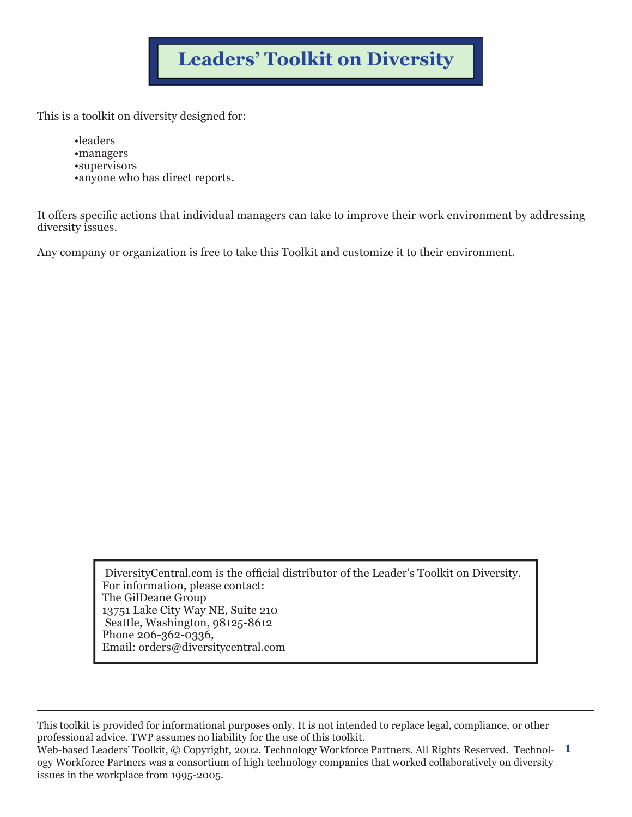# **Leaders' Toolkit on Diversity**

This is a toolkit on diversity designed for:

- •leaders
- •managers
- •supervisors
- •anyone who has direct reports.

It offers specific actions that individual managers can take to improve their work environment by addressing diversity issues.

Any company or organization is free to take this Toolkit and customize it to their environment.

DiversityCentral.com is the official distributor of the Leader's Toolkit on Diversity. For information, please contact: The GilDeane Group 13751 Lake City Way NE, Suite 210 Seattle, Washington, 98125-8612 Phone 206-362-0336, Email: orders@diversitycentral.com

This toolkit is provided for informational purposes only. It is not intended to replace legal, compliance, or other professional advice. TWP assumes no liability for the use of this toolkit.

Web-based Leaders' Toolkit, © Copyright, 2002. Technology Workforce Partners. All Rights Reserved. Technol-**1** ogy Workforce Partners was a consortium of high technology companies that worked collaboratively on diversity issues in the workplace from 1995-2005.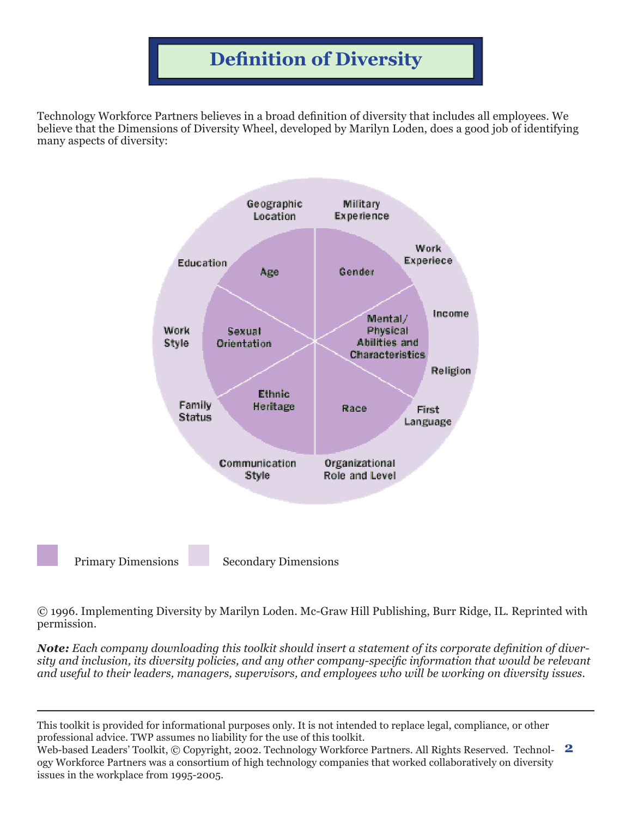# **Definition of Diversity**

Technology Workforce Partners believes in a broad definition of diversity that includes all employees. We believe that the Dimensions of Diversity Wheel, developed by Marilyn Loden, does a good job of identifying many aspects of diversity:



© 1996. Implementing Diversity by Marilyn Loden. Mc-Graw Hill Publishing, Burr Ridge, IL. Reprinted with permission.

*Note:* Each company downloading this toolkit should insert a statement of its corporate definition of diver*sity and inclusion, its diversity policies, and any other company-specifi c information that would be relevant and useful to their leaders, managers, supervisors, and employees who will be working on diversity issues.*

This toolkit is provided for informational purposes only. It is not intended to replace legal, compliance, or other professional advice. TWP assumes no liability for the use of this toolkit.

Web-based Leaders' Toolkit, © Copyright, 2002. Technology Workforce Partners. All Rights Reserved. Technol-**2** ogy Workforce Partners was a consortium of high technology companies that worked collaboratively on diversity issues in the workplace from 1995-2005.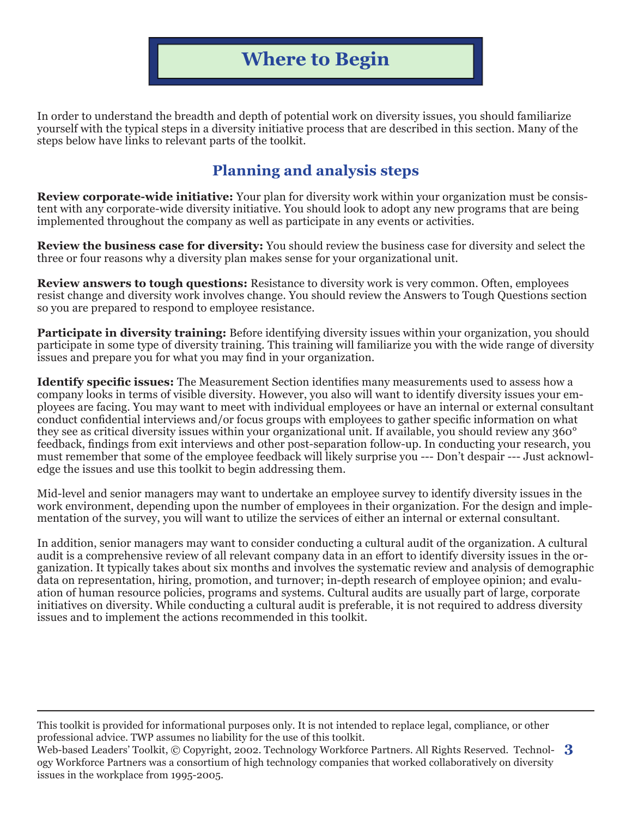# **Where to Begin**

In order to understand the breadth and depth of potential work on diversity issues, you should familiarize yourself with the typical steps in a diversity initiative process that are described in this section. Many of the steps below have links to relevant parts of the toolkit.

## **Planning and analysis steps**

**Review corporate-wide initiative:** Your plan for diversity work within your organization must be consistent with any corporate-wide diversity initiative. You should look to adopt any new programs that are being implemented throughout the company as well as participate in any events or activities.

**Review the business case for diversity:** You should review the business case for diversity and select the three or four reasons why a diversity plan makes sense for your organizational unit.

**Review answers to tough questions:** Resistance to diversity work is very common. Often, employees resist change and diversity work involves change. You should review the Answers to Tough Questions section so you are prepared to respond to employee resistance.

**Participate in diversity training:** Before identifying diversity issues within your organization, you should participate in some type of diversity training. This training will familiarize you with the wide range of diversity issues and prepare you for what you may find in your organization.

**Identify specific issues:** The Measurement Section identifies many measurements used to assess how a company looks in terms of visible diversity. However, you also will want to identify diversity issues your employees are facing. You may want to meet with individual employees or have an internal or external consultant conduct confidential interviews and/or focus groups with employees to gather specific information on what they see as critical diversity issues within your organizational unit. If available, you should review any 360° feedback, findings from exit interviews and other post-separation follow-up. In conducting your research, you must remember that some of the employee feedback will likely surprise you --- Don't despair --- Just acknowledge the issues and use this toolkit to begin addressing them.

Mid-level and senior managers may want to undertake an employee survey to identify diversity issues in the work environment, depending upon the number of employees in their organization. For the design and implementation of the survey, you will want to utilize the services of either an internal or external consultant.

In addition, senior managers may want to consider conducting a cultural audit of the organization. A cultural audit is a comprehensive review of all relevant company data in an effort to identify diversity issues in the organization. It typically takes about six months and involves the systematic review and analysis of demographic data on representation, hiring, promotion, and turnover; in-depth research of employee opinion; and evaluation of human resource policies, programs and systems. Cultural audits are usually part of large, corporate initiatives on diversity. While conducting a cultural audit is preferable, it is not required to address diversity issues and to implement the actions recommended in this toolkit.

This toolkit is provided for informational purposes only. It is not intended to replace legal, compliance, or other professional advice. TWP assumes no liability for the use of this toolkit.

Web-based Leaders' Toolkit, © Copyright, 2002. Technology Workforce Partners. All Rights Reserved. Technol-**3** ogy Workforce Partners was a consortium of high technology companies that worked collaboratively on diversity issues in the workplace from 1995-2005.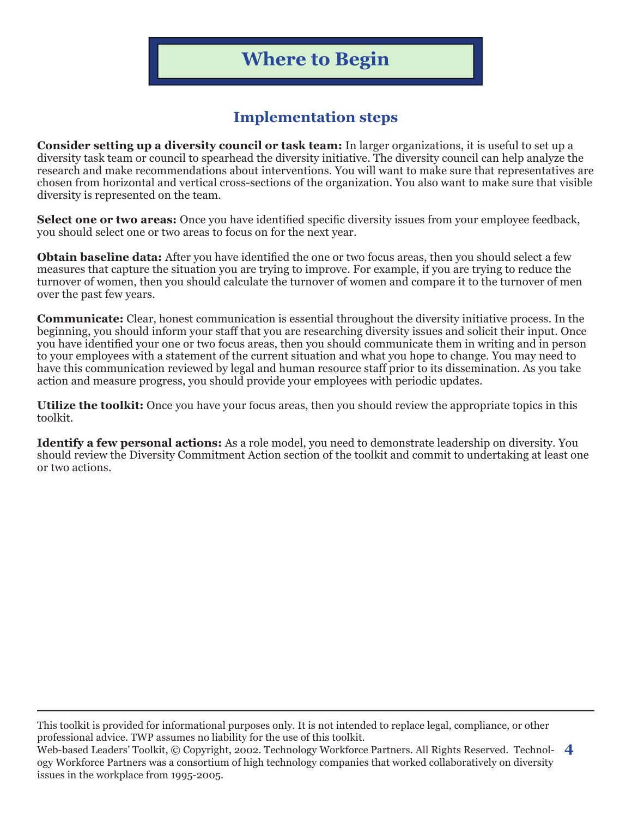# **Where to Begin**

## **Implementation steps**

**Consider setting up a diversity council or task team:** In larger organizations, it is useful to set up a diversity task team or council to spearhead the diversity initiative. The diversity council can help analyze the research and make recommendations about interventions. You will want to make sure that representatives are chosen from horizontal and vertical cross-sections of the organization. You also want to make sure that visible diversity is represented on the team.

**Select one or two areas:** Once you have identified specific diversity issues from your employee feedback, you should select one or two areas to focus on for the next year.

**Obtain baseline data:** After you have identified the one or two focus areas, then you should select a few measures that capture the situation you are trying to improve. For example, if you are trying to reduce the turnover of women, then you should calculate the turnover of women and compare it to the turnover of men over the past few years.

**Communicate:** Clear, honest communication is essential throughout the diversity initiative process. In the beginning, you should inform your staff that you are researching diversity issues and solicit their input. Once you have identified your one or two focus areas, then you should communicate them in writing and in person to your employees with a statement of the current situation and what you hope to change. You may need to have this communication reviewed by legal and human resource staff prior to its dissemination. As you take action and measure progress, you should provide your employees with periodic updates.

**Utilize the toolkit:** Once you have your focus areas, then you should review the appropriate topics in this toolkit.

**Identify a few personal actions:** As a role model, you need to demonstrate leadership on diversity. You should review the Diversity Commitment Action section of the toolkit and commit to undertaking at least one or two actions.

This toolkit is provided for informational purposes only. It is not intended to replace legal, compliance, or other professional advice. TWP assumes no liability for the use of this toolkit.

Web-based Leaders' Toolkit, © Copyright, 2002. Technology Workforce Partners. All Rights Reserved. Technol-**4** ogy Workforce Partners was a consortium of high technology companies that worked collaboratively on diversity issues in the workplace from 1995-2005.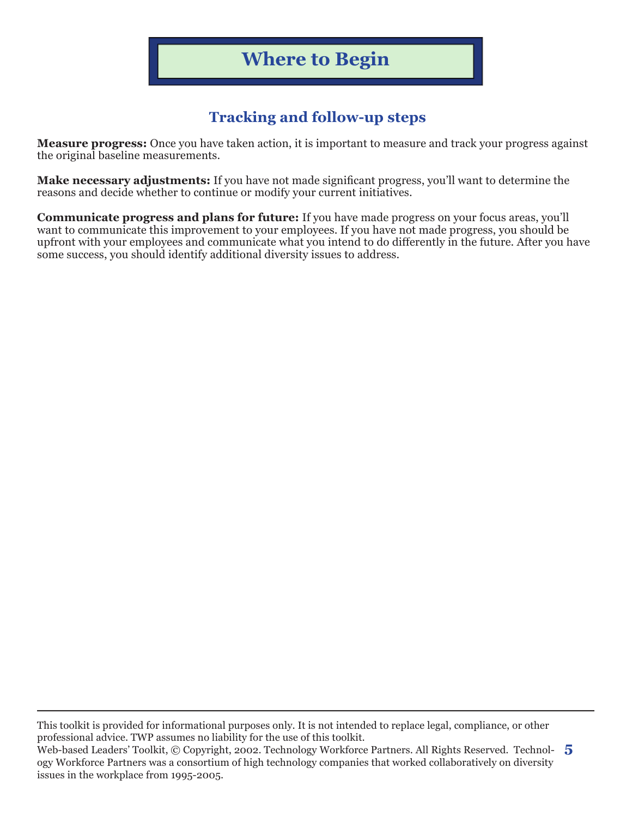# **Where to Begin**

## **Tracking and follow-up steps**

**Measure progress:** Once you have taken action, it is important to measure and track your progress against the original baseline measurements.

**Make necessary adjustments:** If you have not made significant progress, you'll want to determine the reasons and decide whether to continue or modify your current initiatives.

**Communicate progress and plans for future:** If you have made progress on your focus areas, you'll want to communicate this improvement to your employees. If you have not made progress, you should be upfront with your employees and communicate what you intend to do differently in the future. After you have some success, you should identify additional diversity issues to address.

This toolkit is provided for informational purposes only. It is not intended to replace legal, compliance, or other professional advice. TWP assumes no liability for the use of this toolkit.

Web-based Leaders' Toolkit, © Copyright, 2002. Technology Workforce Partners. All Rights Reserved. Technol-**5** ogy Workforce Partners was a consortium of high technology companies that worked collaboratively on diversity issues in the workplace from 1995-2005.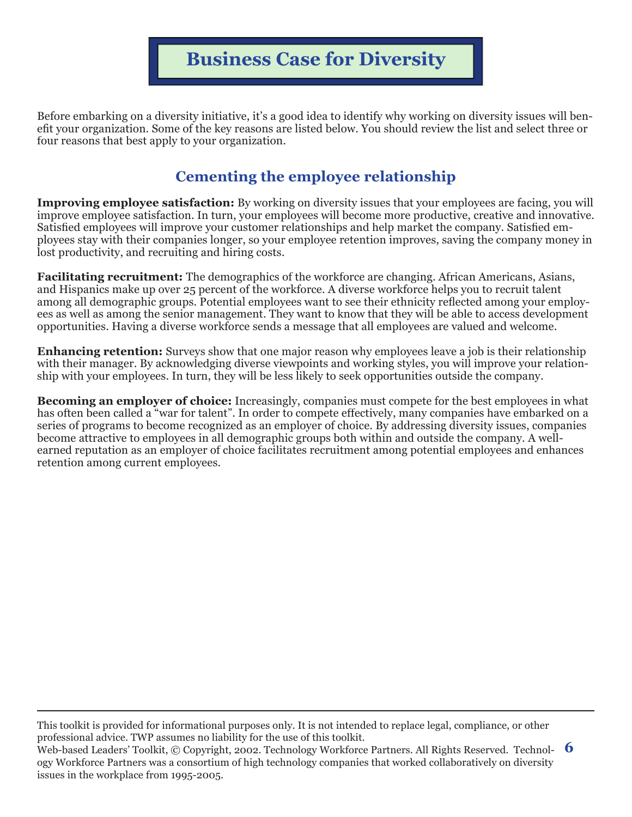# **Business Case for Diversity**

Before embarking on a diversity initiative, it's a good idea to identify why working on diversity issues will benefit your organization. Some of the key reasons are listed below. You should review the list and select three or four reasons that best apply to your organization.

## **Cementing the employee relationship**

**Improving employee satisfaction:** By working on diversity issues that your employees are facing, you will improve employee satisfaction. In turn, your employees will become more productive, creative and innovative. Satisfied employees will improve your customer relationships and help market the company. Satisfied employees stay with their companies longer, so your employee retention improves, saving the company money in lost productivity, and recruiting and hiring costs.

**Facilitating recruitment:** The demographics of the workforce are changing. African Americans, Asians, and Hispanics make up over 25 percent of the workforce. A diverse workforce helps you to recruit talent among all demographic groups. Potential employees want to see their ethnicity reflected among your employees as well as among the senior management. They want to know that they will be able to access development opportunities. Having a diverse workforce sends a message that all employees are valued and welcome.

**Enhancing retention:** Surveys show that one major reason why employees leave a job is their relationship with their manager. By acknowledging diverse viewpoints and working styles, you will improve your relationship with your employees. In turn, they will be less likely to seek opportunities outside the company.

**Becoming an employer of choice:** Increasingly, companies must compete for the best employees in what has often been called a "war for talent". In order to compete effectively, many companies have embarked on a series of programs to become recognized as an employer of choice. By addressing diversity issues, companies become attractive to employees in all demographic groups both within and outside the company. A wellearned reputation as an employer of choice facilitates recruitment among potential employees and enhances retention among current employees.

This toolkit is provided for informational purposes only. It is not intended to replace legal, compliance, or other professional advice. TWP assumes no liability for the use of this toolkit.

Web-based Leaders' Toolkit, © Copyright, 2002. Technology Workforce Partners. All Rights Reserved. Technol-**6** ogy Workforce Partners was a consortium of high technology companies that worked collaboratively on diversity issues in the workplace from 1995-2005.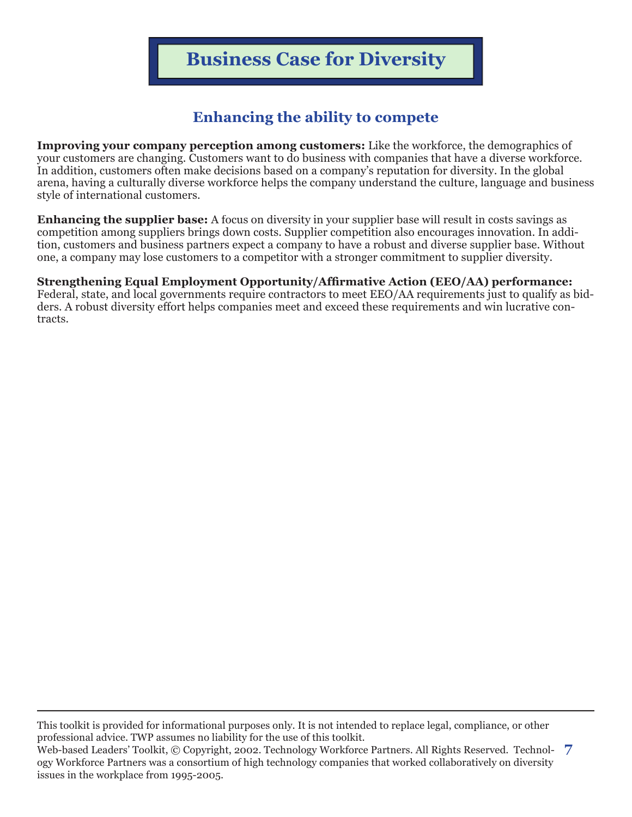# **Business Case for Diversity**

## **Enhancing the ability to compete**

**Improving your company perception among customers:** Like the workforce, the demographics of your customers are changing. Customers want to do business with companies that have a diverse workforce. In addition, customers often make decisions based on a company's reputation for diversity. In the global arena, having a culturally diverse workforce helps the company understand the culture, language and business style of international customers.

**Enhancing the supplier base:** A focus on diversity in your supplier base will result in costs savings as competition among suppliers brings down costs. Supplier competition also encourages innovation. In addition, customers and business partners expect a company to have a robust and diverse supplier base. Without one, a company may lose customers to a competitor with a stronger commitment to supplier diversity.

#### **Strengthening Equal Employment Opportunity/Affirmative Action (EEO/AA) performance:**

Federal, state, and local governments require contractors to meet EEO/AA requirements just to qualify as bidders. A robust diversity effort helps companies meet and exceed these requirements and win lucrative contracts.

This toolkit is provided for informational purposes only. It is not intended to replace legal, compliance, or other professional advice. TWP assumes no liability for the use of this toolkit.

Web-based Leaders' Toolkit, © Copyright, 2002. Technology Workforce Partners. All Rights Reserved. Technology Workforce Partners was a consortium of high technology companies that worked collaboratively on diversity issues in the workplace from 1995-2005. **7**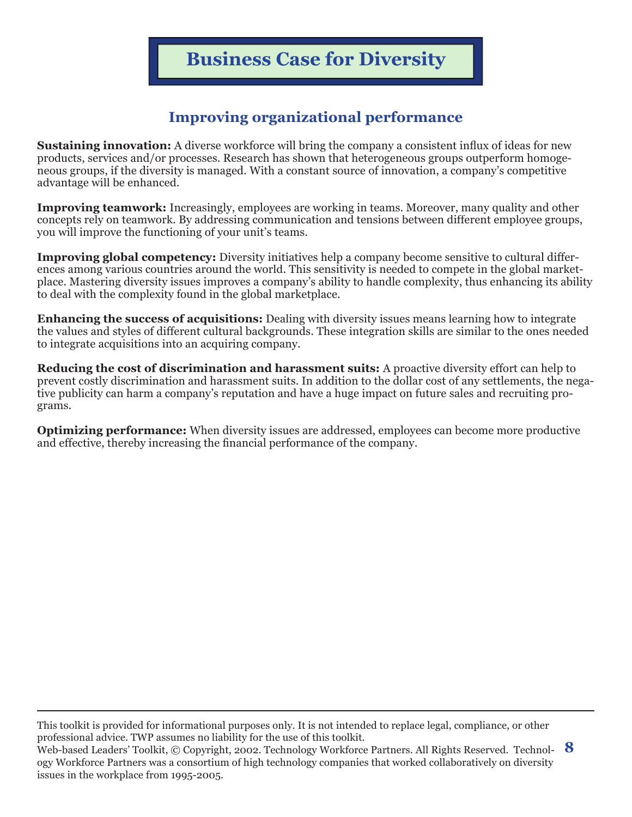# **Business Case for Diversity**

## **Improving organizational performance**

**Sustaining innovation:** A diverse workforce will bring the company a consistent influx of ideas for new products, services and/or processes. Research has shown that heterogeneous groups outperform homogeneous groups, if the diversity is managed. With a constant source of innovation, a company's competitive advantage will be enhanced.

**Improving teamwork:** Increasingly, employees are working in teams. Moreover, many quality and other concepts rely on teamwork. By addressing communication and tensions between different employee groups, you will improve the functioning of your unit's teams.

**Improving global competency:** Diversity initiatives help a company become sensitive to cultural differences among various countries around the world. This sensitivity is needed to compete in the global marketplace. Mastering diversity issues improves a company's ability to handle complexity, thus enhancing its ability to deal with the complexity found in the global marketplace.

**Enhancing the success of acquisitions:** Dealing with diversity issues means learning how to integrate the values and styles of different cultural backgrounds. These integration skills are similar to the ones needed to integrate acquisitions into an acquiring company.

**Reducing the cost of discrimination and harassment suits:** A proactive diversity effort can help to prevent costly discrimination and harassment suits. In addition to the dollar cost of any settlements, the negative publicity can harm a company's reputation and have a huge impact on future sales and recruiting programs.

**Optimizing performance:** When diversity issues are addressed, employees can become more productive and effective, thereby increasing the financial performance of the company.

This toolkit is provided for informational purposes only. It is not intended to replace legal, compliance, or other professional advice. TWP assumes no liability for the use of this toolkit.

Web-based Leaders' Toolkit, © Copyright, 2002. Technology Workforce Partners. All Rights Reserved. Technol-**8** ogy Workforce Partners was a consortium of high technology companies that worked collaboratively on diversity issues in the workplace from 1995-2005.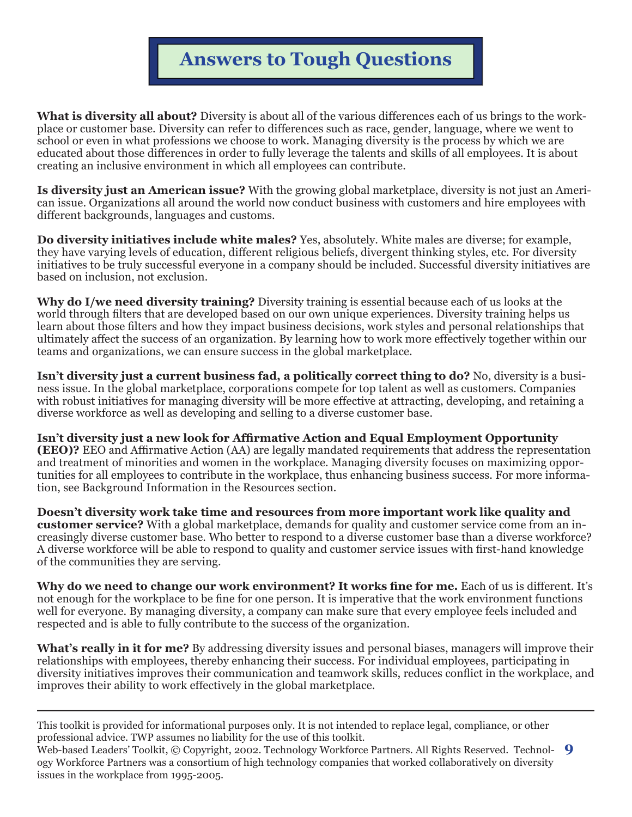# **Answers to Tough Questions**

**What is diversity all about?** Diversity is about all of the various differences each of us brings to the workplace or customer base. Diversity can refer to differences such as race, gender, language, where we went to school or even in what professions we choose to work. Managing diversity is the process by which we are educated about those differences in order to fully leverage the talents and skills of all employees. It is about creating an inclusive environment in which all employees can contribute.

**Is diversity just an American issue?** With the growing global marketplace, diversity is not just an American issue. Organizations all around the world now conduct business with customers and hire employees with different backgrounds, languages and customs.

**Do diversity initiatives include white males?** Yes, absolutely. White males are diverse; for example, they have varying levels of education, different religious beliefs, divergent thinking styles, etc. For diversity initiatives to be truly successful everyone in a company should be included. Successful diversity initiatives are based on inclusion, not exclusion.

**Why do I/we need diversity training?** Diversity training is essential because each of us looks at the world through filters that are developed based on our own unique experiences. Diversity training helps us learn about those filters and how they impact business decisions, work styles and personal relationships that ultimately affect the success of an organization. By learning how to work more effectively together within our teams and organizations, we can ensure success in the global marketplace.

**Isn't diversity just a current business fad, a politically correct thing to do?** No, diversity is a business issue. In the global marketplace, corporations compete for top talent as well as customers. Companies with robust initiatives for managing diversity will be more effective at attracting, developing, and retaining a diverse workforce as well as developing and selling to a diverse customer base.

**Isn't diversity just a new look for Affirmative Action and Equal Employment Opportunity (EEO)?** EEO and Affirmative Action (AA) are legally mandated requirements that address the representation and treatment of minorities and women in the workplace. Managing diversity focuses on maximizing opportunities for all employees to contribute in the workplace, thus enhancing business success. For more information, see Background Information in the Resources section.

**Doesn't diversity work take time and resources from more important work like quality and customer service?** With a global marketplace, demands for quality and customer service come from an increasingly diverse customer base. Who better to respond to a diverse customer base than a diverse workforce? A diverse workforce will be able to respond to quality and customer service issues with first-hand knowledge of the communities they are serving.

**Why do we need to change our work environment? It works fine for me.** Each of us is different. It's not enough for the workplace to be fine for one person. It is imperative that the work environment functions well for everyone. By managing diversity, a company can make sure that every employee feels included and respected and is able to fully contribute to the success of the organization.

**What's really in it for me?** By addressing diversity issues and personal biases, managers will improve their relationships with employees, thereby enhancing their success. For individual employees, participating in diversity initiatives improves their communication and teamwork skills, reduces conflict in the workplace, and improves their ability to work effectively in the global marketplace.

This toolkit is provided for informational purposes only. It is not intended to replace legal, compliance, or other professional advice. TWP assumes no liability for the use of this toolkit.

Web-based Leaders' Toolkit, © Copyright, 2002. Technology Workforce Partners. All Rights Reserved. Technol-**9** ogy Workforce Partners was a consortium of high technology companies that worked collaboratively on diversity issues in the workplace from 1995-2005.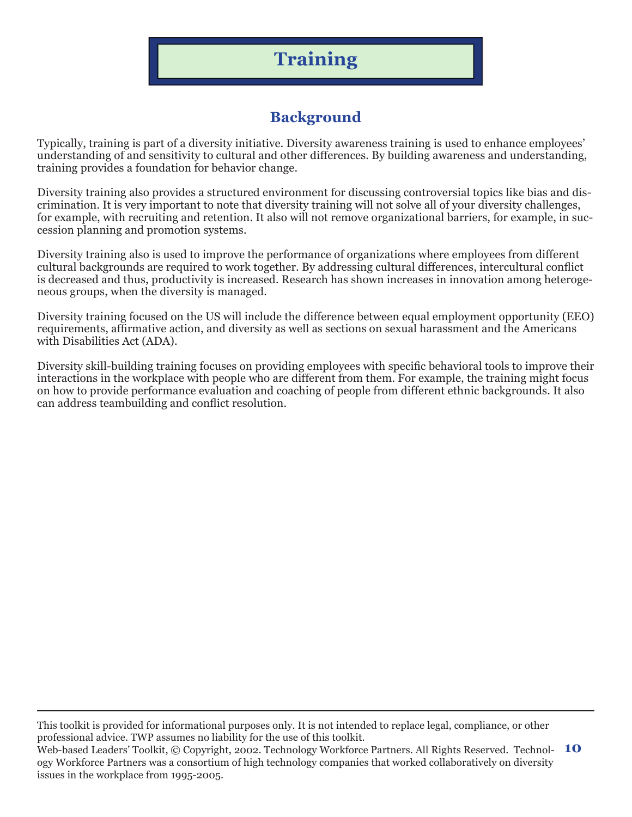# **Training**

## **Background**

Typically, training is part of a diversity initiative. Diversity awareness training is used to enhance employees' understanding of and sensitivity to cultural and other differences. By building awareness and understanding, training provides a foundation for behavior change.

Diversity training also provides a structured environment for discussing controversial topics like bias and discrimination. It is very important to note that diversity training will not solve all of your diversity challenges, for example, with recruiting and retention. It also will not remove organizational barriers, for example, in succession planning and promotion systems.

Diversity training also is used to improve the performance of organizations where employees from different cultural backgrounds are required to work together. By addressing cultural differences, intercultural conflict is decreased and thus, productivity is increased. Research has shown increases in innovation among heterogeneous groups, when the diversity is managed.

Diversity training focused on the US will include the difference between equal employment opportunity (EEO) requirements, affirmative action, and diversity as well as sections on sexual harassment and the Americans with Disabilities Act (ADA).

Diversity skill-building training focuses on providing employees with specific behavioral tools to improve their interactions in the workplace with people who are different from them. For example, the training might focus on how to provide performance evaluation and coaching of people from different ethnic backgrounds. It also can address teambuilding and conflict resolution.

This toolkit is provided for informational purposes only. It is not intended to replace legal, compliance, or other professional advice. TWP assumes no liability for the use of this toolkit.

Web-based Leaders' Toolkit, © Copyright, 2002. Technology Workforce Partners. All Rights Reserved. Technol-**10** ogy Workforce Partners was a consortium of high technology companies that worked collaboratively on diversity issues in the workplace from 1995-2005.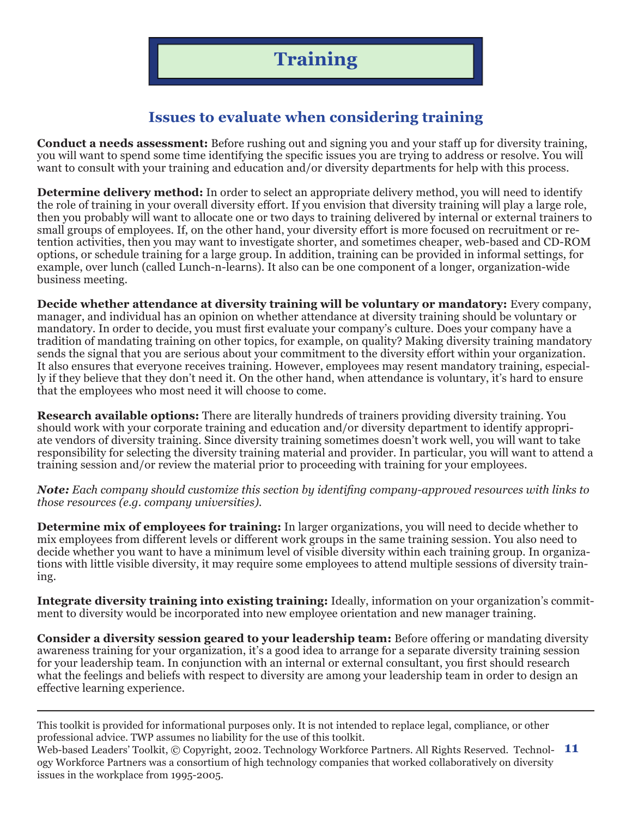# **Training**

### **Issues to evaluate when considering training**

**Conduct a needs assessment:** Before rushing out and signing you and your staff up for diversity training, you will want to spend some time identifying the specific issues you are trying to address or resolve. You will want to consult with your training and education and/or diversity departments for help with this process.

**Determine delivery method:** In order to select an appropriate delivery method, you will need to identify the role of training in your overall diversity effort. If you envision that diversity training will play a large role, then you probably will want to allocate one or two days to training delivered by internal or external trainers to small groups of employees. If, on the other hand, your diversity effort is more focused on recruitment or retention activities, then you may want to investigate shorter, and sometimes cheaper, web-based and CD-ROM options, or schedule training for a large group. In addition, training can be provided in informal settings, for example, over lunch (called Lunch-n-learns). It also can be one component of a longer, organization-wide business meeting.

**Decide whether attendance at diversity training will be voluntary or mandatory:** Every company, manager, and individual has an opinion on whether attendance at diversity training should be voluntary or mandatory. In order to decide, you must first evaluate your company's culture. Does your company have a tradition of mandating training on other topics, for example, on quality? Making diversity training mandatory sends the signal that you are serious about your commitment to the diversity effort within your organization. It also ensures that everyone receives training. However, employees may resent mandatory training, especially if they believe that they don't need it. On the other hand, when attendance is voluntary, it's hard to ensure that the employees who most need it will choose to come.

**Research available options:** There are literally hundreds of trainers providing diversity training. You should work with your corporate training and education and/or diversity department to identify appropriate vendors of diversity training. Since diversity training sometimes doesn't work well, you will want to take responsibility for selecting the diversity training material and provider. In particular, you will want to attend a training session and/or review the material prior to proceeding with training for your employees.

*Note:* Each company should customize this section by identifing company-approved resources with links to *those resources (e.g. company universities).*

**Determine mix of employees for training:** In larger organizations, you will need to decide whether to mix employees from different levels or different work groups in the same training session. You also need to decide whether you want to have a minimum level of visible diversity within each training group. In organizations with little visible diversity, it may require some employees to attend multiple sessions of diversity training.

**Integrate diversity training into existing training:** Ideally, information on your organization's commitment to diversity would be incorporated into new employee orientation and new manager training.

**Consider a diversity session geared to your leadership team:** Before offering or mandating diversity awareness training for your organization, it's a good idea to arrange for a separate diversity training session for your leadership team. In conjunction with an internal or external consultant, you first should research what the feelings and beliefs with respect to diversity are among your leadership team in order to design an effective learning experience.

This toolkit is provided for informational purposes only. It is not intended to replace legal, compliance, or other professional advice. TWP assumes no liability for the use of this toolkit.

Web-based Leaders' Toolkit, © Copyright, 2002. Technology Workforce Partners. All Rights Reserved. Technol-**11** ogy Workforce Partners was a consortium of high technology companies that worked collaboratively on diversity issues in the workplace from 1995-2005.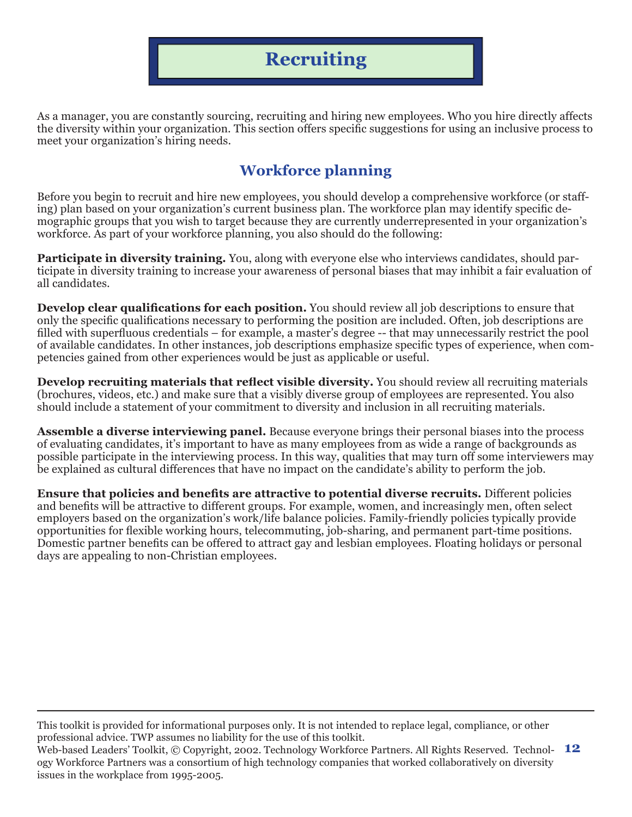# **Recruiting**

As a manager, you are constantly sourcing, recruiting and hiring new employees. Who you hire directly affects the diversity within your organization. This section offers specific suggestions for using an inclusive process to meet your organization's hiring needs.

#### **Workforce planning**

Before you begin to recruit and hire new employees, you should develop a comprehensive workforce (or staffing) plan based on your organization's current business plan. The workforce plan may identify specific demographic groups that you wish to target because they are currently underrepresented in your organization's workforce. As part of your workforce planning, you also should do the following:

**Participate in diversity training.** You, along with everyone else who interviews candidates, should participate in diversity training to increase your awareness of personal biases that may inhibit a fair evaluation of all candidates.

**Develop clear qualifications for each position.** You should review all job descriptions to ensure that only the specific qualifications necessary to performing the position are included. Often, job descriptions are filled with superfluous credentials – for example, a master's degree -- that may unnecessarily restrict the pool of available candidates. In other instances, job descriptions emphasize specifi c types of experience, when competencies gained from other experiences would be just as applicable or useful.

**Develop recruiting materials that reflect visible diversity.** You should review all recruiting materials (brochures, videos, etc.) and make sure that a visibly diverse group of employees are represented. You also should include a statement of your commitment to diversity and inclusion in all recruiting materials.

**Assemble a diverse interviewing panel.** Because everyone brings their personal biases into the process of evaluating candidates, it's important to have as many employees from as wide a range of backgrounds as possible participate in the interviewing process. In this way, qualities that may turn off some interviewers may be explained as cultural differences that have no impact on the candidate's ability to perform the job.

**Ensure that policies and benefits are attractive to potential diverse recruits.** Different policies and benefits will be attractive to different groups. For example, women, and increasingly men, often select employers based on the organization's work/life balance policies. Family-friendly policies typically provide opportunities for flexible working hours, telecommuting, job-sharing, and permanent part-time positions. Domestic partner benefits can be offered to attract gay and lesbian employees. Floating holidays or personal days are appealing to non-Christian employees.

This toolkit is provided for informational purposes only. It is not intended to replace legal, compliance, or other professional advice. TWP assumes no liability for the use of this toolkit.

Web-based Leaders' Toolkit, © Copyright, 2002. Technology Workforce Partners. All Rights Reserved. Technol-**12** ogy Workforce Partners was a consortium of high technology companies that worked collaboratively on diversity issues in the workplace from 1995-2005.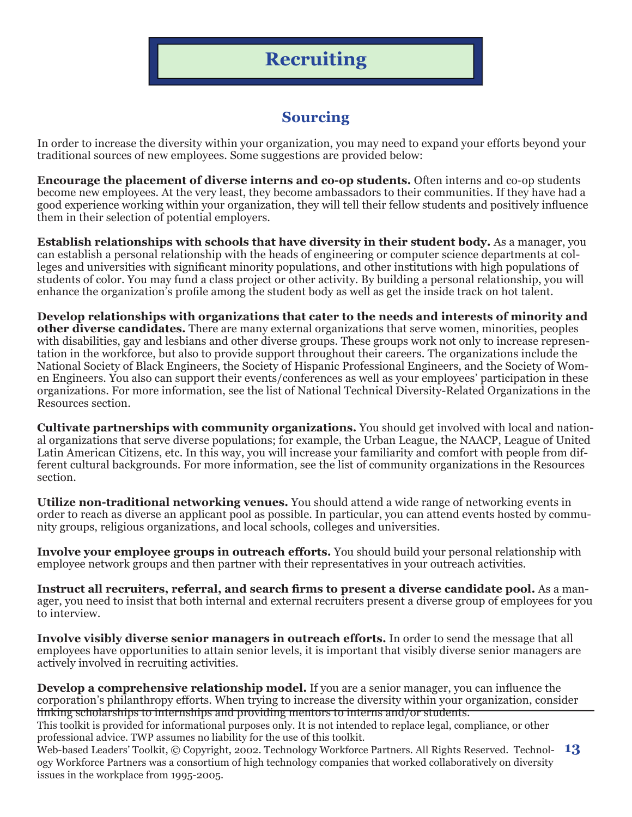# **Recruiting**

## **Sourcing**

In order to increase the diversity within your organization, you may need to expand your efforts beyond your traditional sources of new employees. Some suggestions are provided below:

**Encourage the placement of diverse interns and co-op students.** Often interns and co-op students become new employees. At the very least, they become ambassadors to their communities. If they have had a good experience working within your organization, they will tell their fellow students and positively influence them in their selection of potential employers.

**Establish relationships with schools that have diversity in their student body.** As a manager, you can establish a personal relationship with the heads of engineering or computer science departments at colleges and universities with significant minority populations, and other institutions with high populations of students of color. You may fund a class project or other activity. By building a personal relationship, you will enhance the organization's profile among the student body as well as get the inside track on hot talent.

**Develop relationships with organizations that cater to the needs and interests of minority and other diverse candidates.** There are many external organizations that serve women, minorities, peoples with disabilities, gay and lesbians and other diverse groups. These groups work not only to increase representation in the workforce, but also to provide support throughout their careers. The organizations include the National Society of Black Engineers, the Society of Hispanic Professional Engineers, and the Society of Women Engineers. You also can support their events/conferences as well as your employees' participation in these organizations. For more information, see the list of National Technical Diversity-Related Organizations in the Resources section.

**Cultivate partnerships with community organizations.** You should get involved with local and national organizations that serve diverse populations; for example, the Urban League, the NAACP, League of United Latin American Citizens, etc. In this way, you will increase your familiarity and comfort with people from different cultural backgrounds. For more information, see the list of community organizations in the Resources section.

**Utilize non-traditional networking venues.** You should attend a wide range of networking events in order to reach as diverse an applicant pool as possible. In particular, you can attend events hosted by community groups, religious organizations, and local schools, colleges and universities.

**Involve your employee groups in outreach efforts.** You should build your personal relationship with employee network groups and then partner with their representatives in your outreach activities.

**Instruct all recruiters, referral, and search firms to present a diverse candidate pool.** As a manager, you need to insist that both internal and external recruiters present a diverse group of employees for you to interview.

**Involve visibly diverse senior managers in outreach efforts.** In order to send the message that all employees have opportunities to attain senior levels, it is important that visibly diverse senior managers are actively involved in recruiting activities.

**Develop a comprehensive relationship model.** If you are a senior manager, you can influence the corporation's philanthropy efforts. When trying to increase the diversity within your organization, consider linking scholarships to internships and providing mentors to interns and/or students.

This toolkit is provided for informational purposes only. It is not intended to replace legal, compliance, or other professional advice. TWP assumes no liability for the use of this toolkit.

Web-based Leaders' Toolkit, © Copyright, 2002. Technology Workforce Partners. All Rights Reserved. Technol-**13** ogy Workforce Partners was a consortium of high technology companies that worked collaboratively on diversity issues in the workplace from 1995-2005.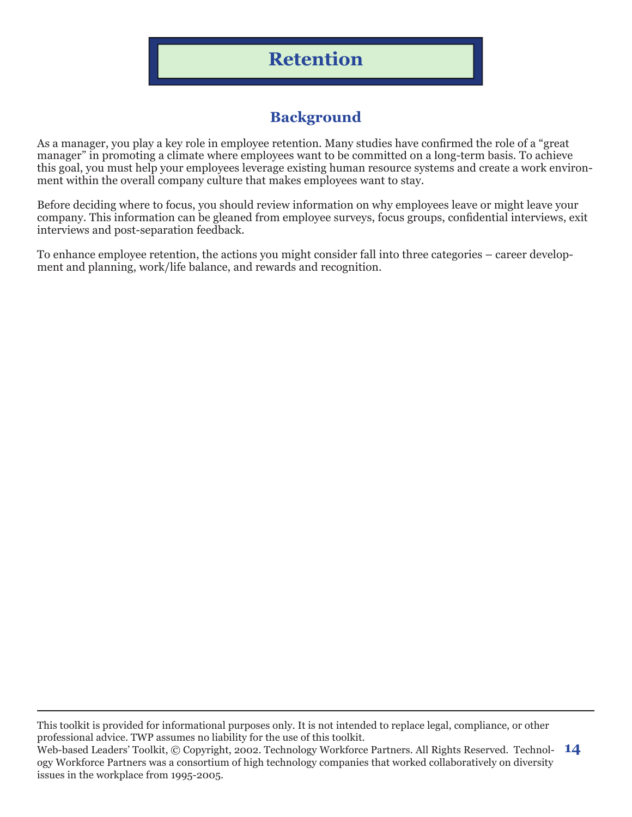## **Background**

As a manager, you play a key role in employee retention. Many studies have confirmed the role of a "great" manager" in promoting a climate where employees want to be committed on a long-term basis. To achieve this goal, you must help your employees leverage existing human resource systems and create a work environment within the overall company culture that makes employees want to stay.

Before deciding where to focus, you should review information on why employees leave or might leave your company. This information can be gleaned from employee surveys, focus groups, confidential interviews, exit interviews and post-separation feedback.

To enhance employee retention, the actions you might consider fall into three categories – career development and planning, work/life balance, and rewards and recognition.

This toolkit is provided for informational purposes only. It is not intended to replace legal, compliance, or other professional advice. TWP assumes no liability for the use of this toolkit.

Web-based Leaders' Toolkit, © Copyright, 2002. Technology Workforce Partners. All Rights Reserved. Technol-**14** ogy Workforce Partners was a consortium of high technology companies that worked collaboratively on diversity issues in the workplace from 1995-2005.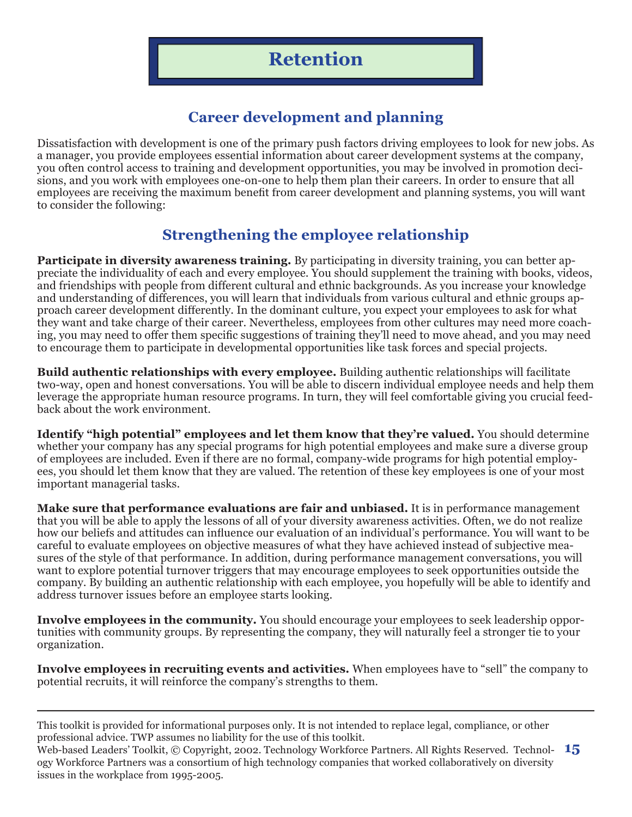### **Career development and planning**

Dissatisfaction with development is one of the primary push factors driving employees to look for new jobs. As a manager, you provide employees essential information about career development systems at the company, you often control access to training and development opportunities, you may be involved in promotion decisions, and you work with employees one-on-one to help them plan their careers. In order to ensure that all employees are receiving the maximum benefit from career development and planning systems, you will want to consider the following:

## **Strengthening the employee relationship**

**Participate in diversity awareness training.** By participating in diversity training, you can better appreciate the individuality of each and every employee. You should supplement the training with books, videos, and friendships with people from different cultural and ethnic backgrounds. As you increase your knowledge and understanding of differences, you will learn that individuals from various cultural and ethnic groups approach career development differently. In the dominant culture, you expect your employees to ask for what they want and take charge of their career. Nevertheless, employees from other cultures may need more coaching, you may need to offer them specific suggestions of training they'll need to move ahead, and you may need to encourage them to participate in developmental opportunities like task forces and special projects.

**Build authentic relationships with every employee.** Building authentic relationships will facilitate two-way, open and honest conversations. You will be able to discern individual employee needs and help them leverage the appropriate human resource programs. In turn, they will feel comfortable giving you crucial feedback about the work environment.

**Identify "high potential" employees and let them know that they're valued.** You should determine whether your company has any special programs for high potential employees and make sure a diverse group of employees are included. Even if there are no formal, company-wide programs for high potential employees, you should let them know that they are valued. The retention of these key employees is one of your most important managerial tasks.

**Make sure that performance evaluations are fair and unbiased.** It is in performance management that you will be able to apply the lessons of all of your diversity awareness activities. Often, we do not realize how our beliefs and attitudes can influence our evaluation of an individual's performance. You will want to be careful to evaluate employees on objective measures of what they have achieved instead of subjective measures of the style of that performance. In addition, during performance management conversations, you will want to explore potential turnover triggers that may encourage employees to seek opportunities outside the company. By building an authentic relationship with each employee, you hopefully will be able to identify and address turnover issues before an employee starts looking.

**Involve employees in the community.** You should encourage your employees to seek leadership opportunities with community groups. By representing the company, they will naturally feel a stronger tie to your organization.

**Involve employees in recruiting events and activities.** When employees have to "sell" the company to potential recruits, it will reinforce the company's strengths to them.

This toolkit is provided for informational purposes only. It is not intended to replace legal, compliance, or other professional advice. TWP assumes no liability for the use of this toolkit.

Web-based Leaders' Toolkit, © Copyright, 2002. Technology Workforce Partners. All Rights Reserved. Technol-**15** ogy Workforce Partners was a consortium of high technology companies that worked collaboratively on diversity issues in the workplace from 1995-2005.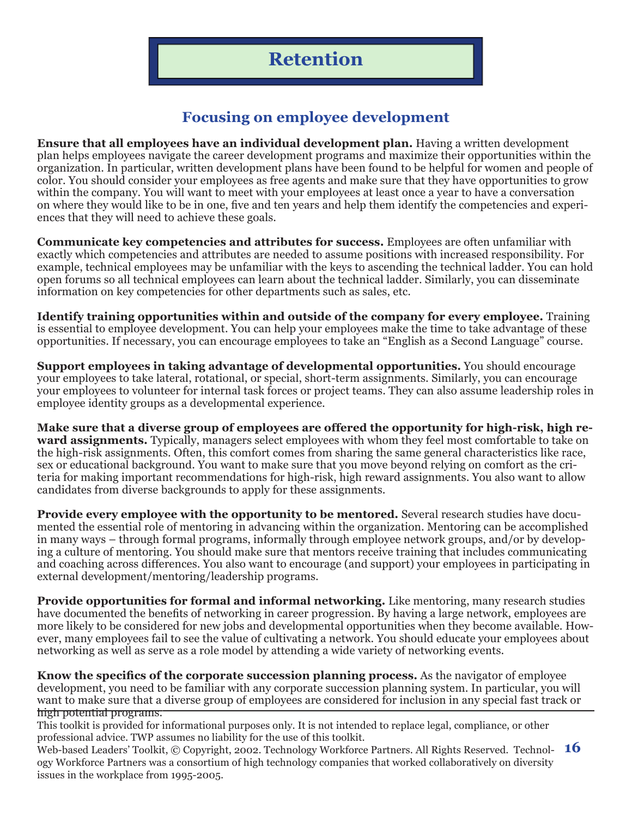#### **Focusing on employee development**

**Ensure that all employees have an individual development plan.** Having a written development plan helps employees navigate the career development programs and maximize their opportunities within the organization. In particular, written development plans have been found to be helpful for women and people of color. You should consider your employees as free agents and make sure that they have opportunities to grow within the company. You will want to meet with your employees at least once a year to have a conversation on where they would like to be in one, five and ten years and help them identify the competencies and experiences that they will need to achieve these goals.

**Communicate key competencies and attributes for success.** Employees are often unfamiliar with exactly which competencies and attributes are needed to assume positions with increased responsibility. For example, technical employees may be unfamiliar with the keys to ascending the technical ladder. You can hold open forums so all technical employees can learn about the technical ladder. Similarly, you can disseminate information on key competencies for other departments such as sales, etc.

**Identify training opportunities within and outside of the company for every employee.** Training is essential to employee development. You can help your employees make the time to take advantage of these opportunities. If necessary, you can encourage employees to take an "English as a Second Language" course.

**Support employees in taking advantage of developmental opportunities.** You should encourage your employees to take lateral, rotational, or special, short-term assignments. Similarly, you can encourage your employees to volunteer for internal task forces or project teams. They can also assume leadership roles in employee identity groups as a developmental experience.

**Make sure that a diverse group of employees are offered the opportunity for high-risk, high reward assignments.** Typically, managers select employees with whom they feel most comfortable to take on the high-risk assignments. Often, this comfort comes from sharing the same general characteristics like race, sex or educational background. You want to make sure that you move beyond relying on comfort as the criteria for making important recommendations for high-risk, high reward assignments. You also want to allow candidates from diverse backgrounds to apply for these assignments.

**Provide every employee with the opportunity to be mentored.** Several research studies have documented the essential role of mentoring in advancing within the organization. Mentoring can be accomplished in many ways – through formal programs, informally through employee network groups, and/or by developing a culture of mentoring. You should make sure that mentors receive training that includes communicating and coaching across differences. You also want to encourage (and support) your employees in participating in external development/mentoring/leadership programs.

**Provide opportunities for formal and informal networking.** Like mentoring, many research studies have documented the benefits of networking in career progression. By having a large network, employees are more likely to be considered for new jobs and developmental opportunities when they become available. However, many employees fail to see the value of cultivating a network. You should educate your employees about networking as well as serve as a role model by attending a wide variety of networking events.

**Know the specifics of the corporate succession planning process.** As the navigator of employee development, you need to be familiar with any corporate succession planning system. In particular, you will want to make sure that a diverse group of employees are considered for inclusion in any special fast track or high potential programs.

This toolkit is provided for informational purposes only. It is not intended to replace legal, compliance, or other professional advice. TWP assumes no liability for the use of this toolkit.

Web-based Leaders' Toolkit, © Copyright, 2002. Technology Workforce Partners. All Rights Reserved. Technol-**16** ogy Workforce Partners was a consortium of high technology companies that worked collaboratively on diversity issues in the workplace from 1995-2005.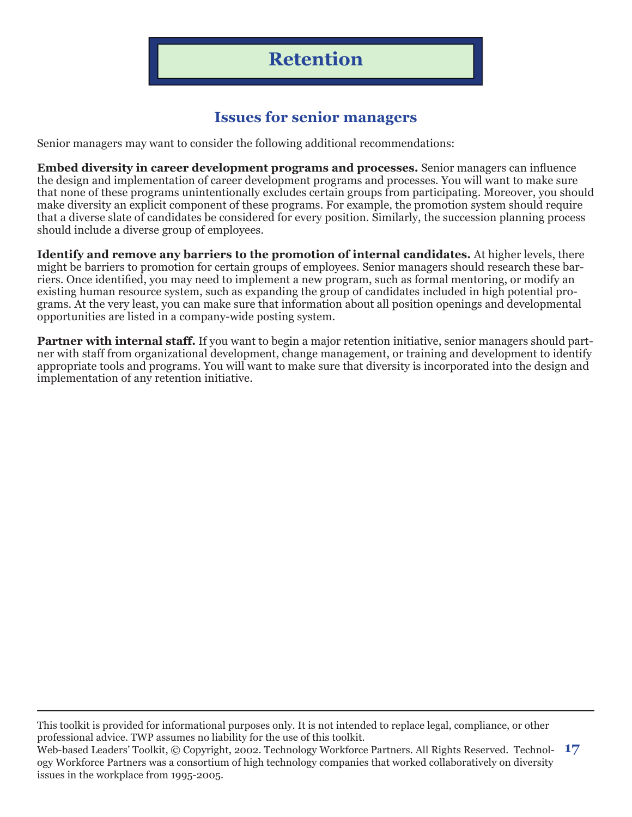### **Issues for senior managers**

Senior managers may want to consider the following additional recommendations:

**Embed diversity in career development programs and processes.** Senior managers can influence the design and implementation of career development programs and processes. You will want to make sure that none of these programs unintentionally excludes certain groups from participating. Moreover, you should make diversity an explicit component of these programs. For example, the promotion system should require that a diverse slate of candidates be considered for every position. Similarly, the succession planning process should include a diverse group of employees.

**Identify and remove any barriers to the promotion of internal candidates.** At higher levels, there might be barriers to promotion for certain groups of employees. Senior managers should research these barriers. Once identified, you may need to implement a new program, such as formal mentoring, or modify an existing human resource system, such as expanding the group of candidates included in high potential programs. At the very least, you can make sure that information about all position openings and developmental opportunities are listed in a company-wide posting system.

**Partner with internal staff.** If you want to begin a major retention initiative, senior managers should partner with staff from organizational development, change management, or training and development to identify appropriate tools and programs. You will want to make sure that diversity is incorporated into the design and implementation of any retention initiative.

This toolkit is provided for informational purposes only. It is not intended to replace legal, compliance, or other professional advice. TWP assumes no liability for the use of this toolkit.

Web-based Leaders' Toolkit, © Copyright, 2002. Technology Workforce Partners. All Rights Reserved. Technol-**17** ogy Workforce Partners was a consortium of high technology companies that worked collaboratively on diversity issues in the workplace from 1995-2005.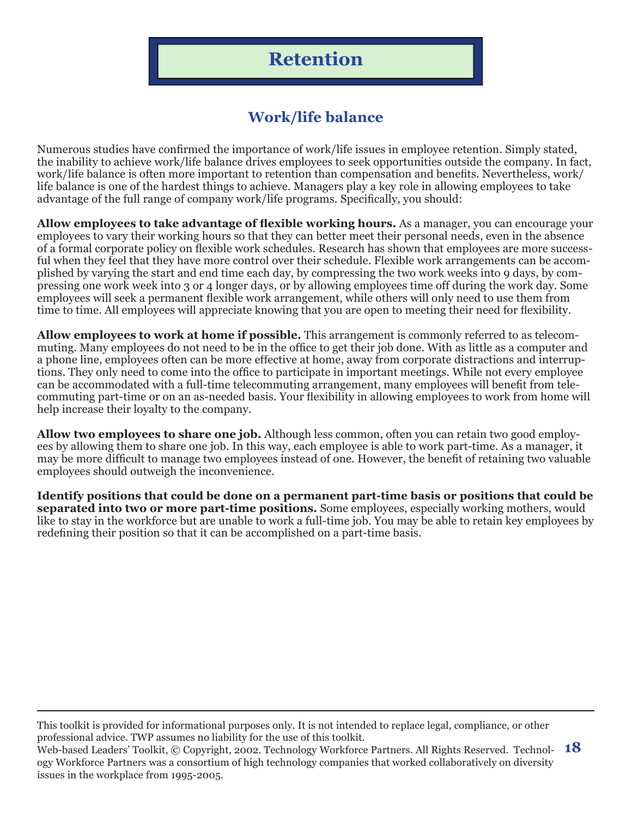## **Work/life balance**

Numerous studies have confirmed the importance of work/life issues in employee retention. Simply stated, the inability to achieve work/life balance drives employees to seek opportunities outside the company. In fact, work/life balance is often more important to retention than compensation and benefits. Nevertheless, work/ life balance is one of the hardest things to achieve. Managers play a key role in allowing employees to take advantage of the full range of company work/life programs. Specifically, you should:

**Allow employees to take advantage of flexible working hours.** As a manager, you can encourage your employees to vary their working hours so that they can better meet their personal needs, even in the absence of a formal corporate policy on flexible work schedules. Research has shown that employees are more successful when they feel that they have more control over their schedule. Flexible work arrangements can be accomplished by varying the start and end time each day, by compressing the two work weeks into 9 days, by compressing one work week into 3 or 4 longer days, or by allowing employees time off during the work day. Some employees will seek a permanent flexible work arrangement, while others will only need to use them from time to time. All employees will appreciate knowing that you are open to meeting their need for flexibility.

**Allow employees to work at home if possible.** This arrangement is commonly referred to as telecommuting. Many employees do not need to be in the office to get their job done. With as little as a computer and a phone line, employees often can be more effective at home, away from corporate distractions and interruptions. They only need to come into the office to participate in important meetings. While not every employee can be accommodated with a full-time telecommuting arrangement, many employees will benefit from telecommuting part-time or on an as-needed basis. Your flexibility in allowing employees to work from home will help increase their loyalty to the company.

**Allow two employees to share one job.** Although less common, often you can retain two good employees by allowing them to share one job. In this way, each employee is able to work part-time. As a manager, it may be more difficult to manage two employees instead of one. However, the benefit of retaining two valuable employees should outweigh the inconvenience.

**Identify positions that could be done on a permanent part-time basis or positions that could be separated into two or more part-time positions.** Some employees, especially working mothers, would like to stay in the workforce but are unable to work a full-time job. You may be able to retain key employees by redefining their position so that it can be accomplished on a part-time basis.

This toolkit is provided for informational purposes only. It is not intended to replace legal, compliance, or other professional advice. TWP assumes no liability for the use of this toolkit.

Web-based Leaders' Toolkit, © Copyright, 2002. Technology Workforce Partners. All Rights Reserved. Technol-**18** ogy Workforce Partners was a consortium of high technology companies that worked collaboratively on diversity issues in the workplace from 1995-2005.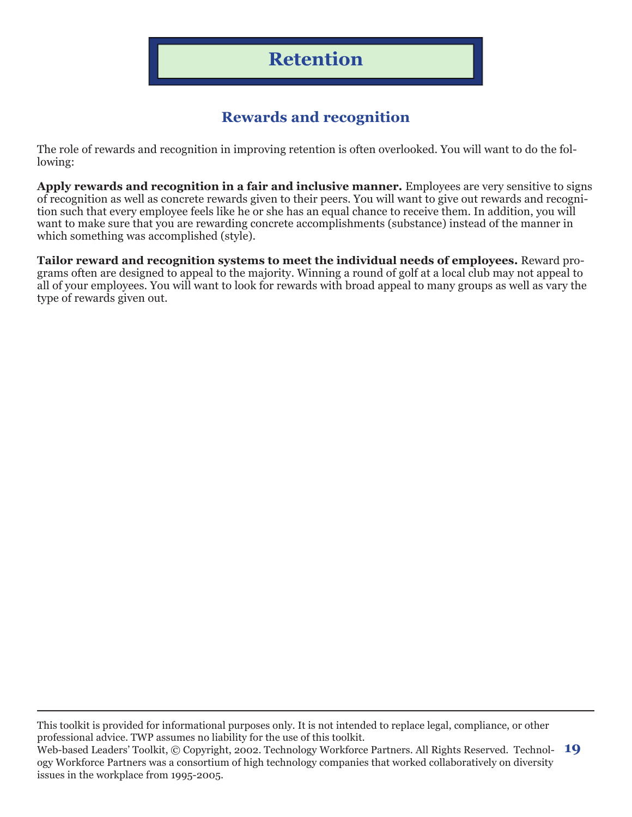## **Rewards and recognition**

The role of rewards and recognition in improving retention is often overlooked. You will want to do the following:

**Apply rewards and recognition in a fair and inclusive manner.** Employees are very sensitive to signs of recognition as well as concrete rewards given to their peers. You will want to give out rewards and recognition such that every employee feels like he or she has an equal chance to receive them. In addition, you will want to make sure that you are rewarding concrete accomplishments (substance) instead of the manner in which something was accomplished (style).

**Tailor reward and recognition systems to meet the individual needs of employees.** Reward programs often are designed to appeal to the majority. Winning a round of golf at a local club may not appeal to all of your employees. You will want to look for rewards with broad appeal to many groups as well as vary the type of rewards given out.

This toolkit is provided for informational purposes only. It is not intended to replace legal, compliance, or other professional advice. TWP assumes no liability for the use of this toolkit.

Web-based Leaders' Toolkit, © Copyright, 2002. Technology Workforce Partners. All Rights Reserved. Technol-**19** ogy Workforce Partners was a consortium of high technology companies that worked collaboratively on diversity issues in the workplace from 1995-2005.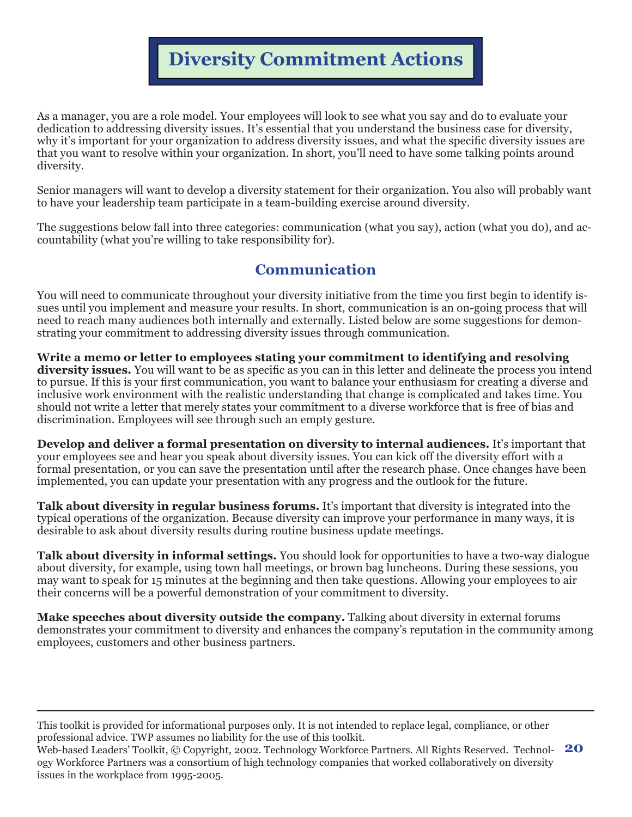# **Diversity Commitment Actions**

As a manager, you are a role model. Your employees will look to see what you say and do to evaluate your dedication to addressing diversity issues. It's essential that you understand the business case for diversity, why it's important for your organization to address diversity issues, and what the specific diversity issues are that you want to resolve within your organization. In short, you'll need to have some talking points around diversity.

Senior managers will want to develop a diversity statement for their organization. You also will probably want to have your leadership team participate in a team-building exercise around diversity.

The suggestions below fall into three categories: communication (what you say), action (what you do), and accountability (what you're willing to take responsibility for).

#### **Communication**

You will need to communicate throughout your diversity initiative from the time you first begin to identify issues until you implement and measure your results. In short, communication is an on-going process that will need to reach many audiences both internally and externally. Listed below are some suggestions for demonstrating your commitment to addressing diversity issues through communication.

**Write a memo or letter to employees stating your commitment to identifying and resolving diversity issues.** You will want to be as specific as you can in this letter and delineate the process you intend to pursue. If this is your first communication, you want to balance your enthusiasm for creating a diverse and inclusive work environment with the realistic understanding that change is complicated and takes time. You should not write a letter that merely states your commitment to a diverse workforce that is free of bias and discrimination. Employees will see through such an empty gesture.

**Develop and deliver a formal presentation on diversity to internal audiences.** It's important that your employees see and hear you speak about diversity issues. You can kick off the diversity effort with a formal presentation, or you can save the presentation until after the research phase. Once changes have been implemented, you can update your presentation with any progress and the outlook for the future.

**Talk about diversity in regular business forums.** It's important that diversity is integrated into the typical operations of the organization. Because diversity can improve your performance in many ways, it is desirable to ask about diversity results during routine business update meetings.

**Talk about diversity in informal settings.** You should look for opportunities to have a two-way dialogue about diversity, for example, using town hall meetings, or brown bag luncheons. During these sessions, you may want to speak for 15 minutes at the beginning and then take questions. Allowing your employees to air their concerns will be a powerful demonstration of your commitment to diversity.

**Make speeches about diversity outside the company.** Talking about diversity in external forums demonstrates your commitment to diversity and enhances the company's reputation in the community among employees, customers and other business partners.

This toolkit is provided for informational purposes only. It is not intended to replace legal, compliance, or other professional advice. TWP assumes no liability for the use of this toolkit.

Web-based Leaders' Toolkit, © Copyright, 2002. Technology Workforce Partners. All Rights Reserved. Technol-**20** ogy Workforce Partners was a consortium of high technology companies that worked collaboratively on diversity issues in the workplace from 1995-2005.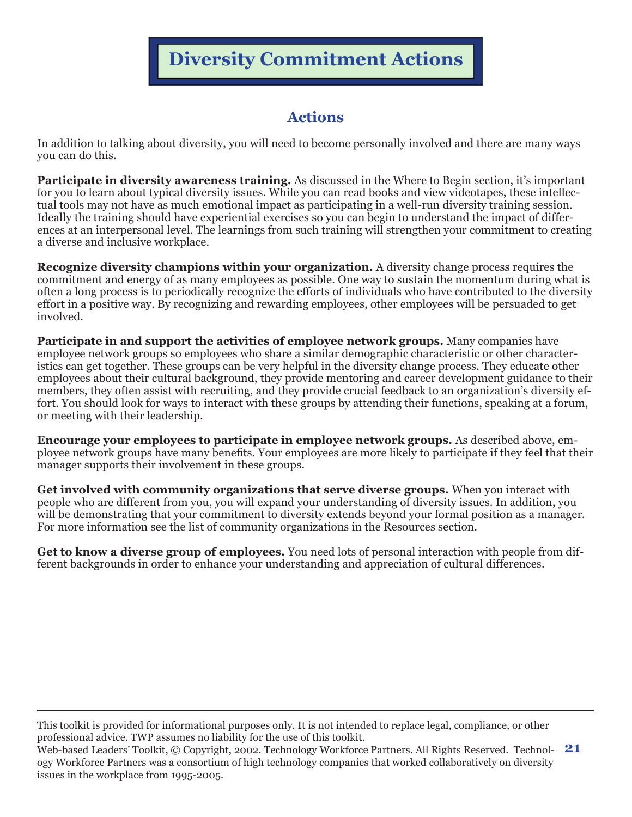# **Diversity Commitment Actions**

## **Actions**

In addition to talking about diversity, you will need to become personally involved and there are many ways you can do this.

**Participate in diversity awareness training.** As discussed in the Where to Begin section, it's important for you to learn about typical diversity issues. While you can read books and view videotapes, these intellectual tools may not have as much emotional impact as participating in a well-run diversity training session. Ideally the training should have experiential exercises so you can begin to understand the impact of differences at an interpersonal level. The learnings from such training will strengthen your commitment to creating a diverse and inclusive workplace.

**Recognize diversity champions within your organization.** A diversity change process requires the commitment and energy of as many employees as possible. One way to sustain the momentum during what is often a long process is to periodically recognize the efforts of individuals who have contributed to the diversity effort in a positive way. By recognizing and rewarding employees, other employees will be persuaded to get involved.

**Participate in and support the activities of employee network groups.** Many companies have employee network groups so employees who share a similar demographic characteristic or other characteristics can get together. These groups can be very helpful in the diversity change process. They educate other employees about their cultural background, they provide mentoring and career development guidance to their members, they often assist with recruiting, and they provide crucial feedback to an organization's diversity effort. You should look for ways to interact with these groups by attending their functions, speaking at a forum, or meeting with their leadership.

**Encourage your employees to participate in employee network groups.** As described above, employee network groups have many benefits. Your employees are more likely to participate if they feel that their manager supports their involvement in these groups.

**Get involved with community organizations that serve diverse groups.** When you interact with people who are different from you, you will expand your understanding of diversity issues. In addition, you will be demonstrating that your commitment to diversity extends beyond your formal position as a manager. For more information see the list of community organizations in the Resources section.

**Get to know a diverse group of employees.** You need lots of personal interaction with people from different backgrounds in order to enhance your understanding and appreciation of cultural differences.

This toolkit is provided for informational purposes only. It is not intended to replace legal, compliance, or other professional advice. TWP assumes no liability for the use of this toolkit.

Web-based Leaders' Toolkit, © Copyright, 2002. Technology Workforce Partners. All Rights Reserved. Technol-**21** ogy Workforce Partners was a consortium of high technology companies that worked collaboratively on diversity issues in the workplace from 1995-2005.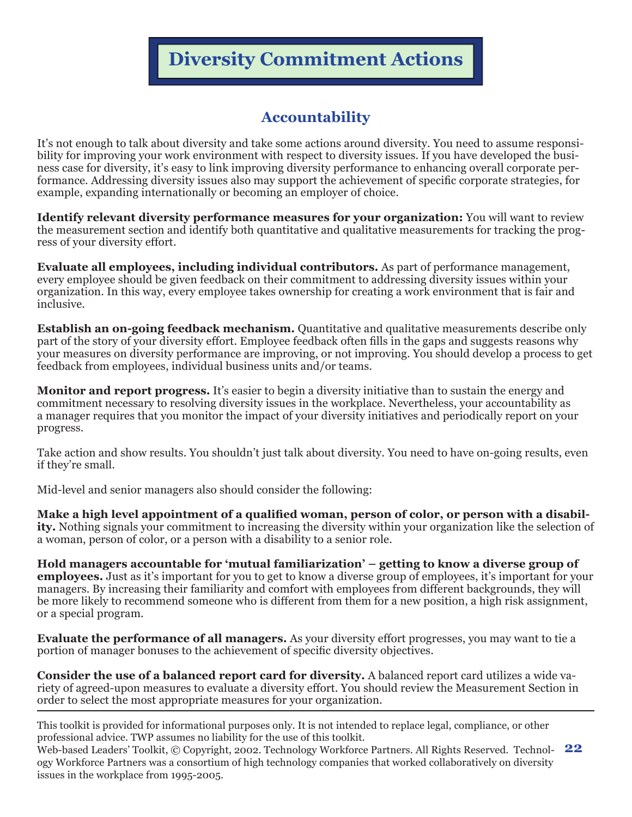# **Diversity Commitment Actions**

### **Accountability**

It's not enough to talk about diversity and take some actions around diversity. You need to assume responsibility for improving your work environment with respect to diversity issues. If you have developed the business case for diversity, it's easy to link improving diversity performance to enhancing overall corporate performance. Addressing diversity issues also may support the achievement of specific corporate strategies, for example, expanding internationally or becoming an employer of choice.

**Identify relevant diversity performance measures for your organization:** You will want to review the measurement section and identify both quantitative and qualitative measurements for tracking the progress of your diversity effort.

**Evaluate all employees, including individual contributors.** As part of performance management, every employee should be given feedback on their commitment to addressing diversity issues within your organization. In this way, every employee takes ownership for creating a work environment that is fair and inclusive.

**Establish an on-going feedback mechanism.** Quantitative and qualitative measurements describe only part of the story of your diversity effort. Employee feedback often fills in the gaps and suggests reasons why your measures on diversity performance are improving, or not improving. You should develop a process to get feedback from employees, individual business units and/or teams.

**Monitor and report progress.** It's easier to begin a diversity initiative than to sustain the energy and commitment necessary to resolving diversity issues in the workplace. Nevertheless, your accountability as a manager requires that you monitor the impact of your diversity initiatives and periodically report on your progress.

Take action and show results. You shouldn't just talk about diversity. You need to have on-going results, even if they're small.

Mid-level and senior managers also should consider the following:

Make a high level appointment of a qualified woman, person of color, or person with a disabil**ity.** Nothing signals your commitment to increasing the diversity within your organization like the selection of a woman, person of color, or a person with a disability to a senior role.

**Hold managers accountable for 'mutual familiarization' – getting to know a diverse group of employees.** Just as it's important for you to get to know a diverse group of employees, it's important for your managers. By increasing their familiarity and comfort with employees from different backgrounds, they will be more likely to recommend someone who is different from them for a new position, a high risk assignment, or a special program.

**Evaluate the performance of all managers.** As your diversity effort progresses, you may want to tie a portion of manager bonuses to the achievement of specific diversity objectives.

**Consider the use of a balanced report card for diversity.** A balanced report card utilizes a wide variety of agreed-upon measures to evaluate a diversity effort. You should review the Measurement Section in order to select the most appropriate measures for your organization.

This toolkit is provided for informational purposes only. It is not intended to replace legal, compliance, or other professional advice. TWP assumes no liability for the use of this toolkit.

Web-based Leaders' Toolkit, © Copyright, 2002. Technology Workforce Partners. All Rights Reserved. Technol-**22** ogy Workforce Partners was a consortium of high technology companies that worked collaboratively on diversity issues in the workplace from 1995-2005.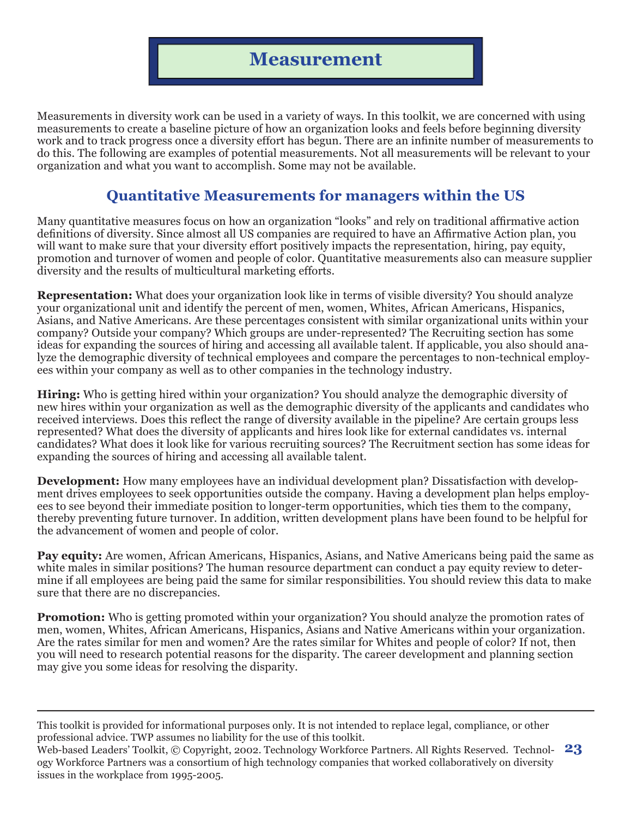Measurements in diversity work can be used in a variety of ways. In this toolkit, we are concerned with using measurements to create a baseline picture of how an organization looks and feels before beginning diversity work and to track progress once a diversity effort has begun. There are an infinite number of measurements to do this. The following are examples of potential measurements. Not all measurements will be relevant to your organization and what you want to accomplish. Some may not be available.

#### **Quantitative Measurements for managers within the US**

Many quantitative measures focus on how an organization "looks" and rely on traditional affirmative action definitions of diversity. Since almost all US companies are required to have an Affirmative Action plan, you will want to make sure that your diversity effort positively impacts the representation, hiring, pay equity, promotion and turnover of women and people of color. Quantitative measurements also can measure supplier diversity and the results of multicultural marketing efforts.

**Representation:** What does your organization look like in terms of visible diversity? You should analyze your organizational unit and identify the percent of men, women, Whites, African Americans, Hispanics, Asians, and Native Americans. Are these percentages consistent with similar organizational units within your company? Outside your company? Which groups are under-represented? The Recruiting section has some ideas for expanding the sources of hiring and accessing all available talent. If applicable, you also should analyze the demographic diversity of technical employees and compare the percentages to non-technical employees within your company as well as to other companies in the technology industry.

**Hiring:** Who is getting hired within your organization? You should analyze the demographic diversity of new hires within your organization as well as the demographic diversity of the applicants and candidates who received interviews. Does this reflect the range of diversity available in the pipeline? Are certain groups less represented? What does the diversity of applicants and hires look like for external candidates vs. internal candidates? What does it look like for various recruiting sources? The Recruitment section has some ideas for expanding the sources of hiring and accessing all available talent.

**Development:** How many employees have an individual development plan? Dissatisfaction with development drives employees to seek opportunities outside the company. Having a development plan helps employees to see beyond their immediate position to longer-term opportunities, which ties them to the company, thereby preventing future turnover. In addition, written development plans have been found to be helpful for the advancement of women and people of color.

**Pay equity:** Are women, African Americans, Hispanics, Asians, and Native Americans being paid the same as white males in similar positions? The human resource department can conduct a pay equity review to determine if all employees are being paid the same for similar responsibilities. You should review this data to make sure that there are no discrepancies.

**Promotion:** Who is getting promoted within your organization? You should analyze the promotion rates of men, women, Whites, African Americans, Hispanics, Asians and Native Americans within your organization. Are the rates similar for men and women? Are the rates similar for Whites and people of color? If not, then you will need to research potential reasons for the disparity. The career development and planning section may give you some ideas for resolving the disparity.

This toolkit is provided for informational purposes only. It is not intended to replace legal, compliance, or other professional advice. TWP assumes no liability for the use of this toolkit.

Web-based Leaders' Toolkit, © Copyright, 2002. Technology Workforce Partners. All Rights Reserved. Technol-**23** ogy Workforce Partners was a consortium of high technology companies that worked collaboratively on diversity issues in the workplace from 1995-2005.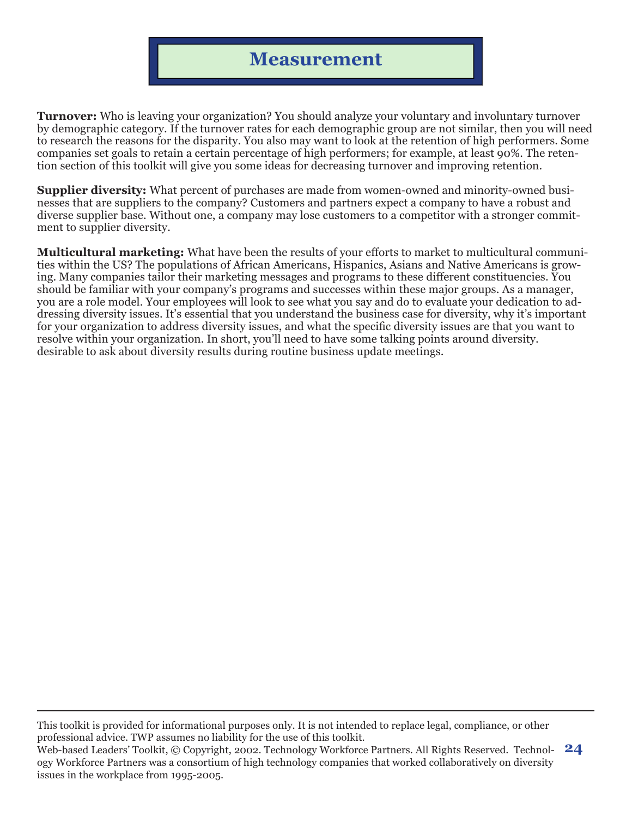**Turnover:** Who is leaving your organization? You should analyze your voluntary and involuntary turnover by demographic category. If the turnover rates for each demographic group are not similar, then you will need to research the reasons for the disparity. You also may want to look at the retention of high performers. Some companies set goals to retain a certain percentage of high performers; for example, at least 90%. The retention section of this toolkit will give you some ideas for decreasing turnover and improving retention.

**Supplier diversity:** What percent of purchases are made from women-owned and minority-owned businesses that are suppliers to the company? Customers and partners expect a company to have a robust and diverse supplier base. Without one, a company may lose customers to a competitor with a stronger commitment to supplier diversity.

**Multicultural marketing:** What have been the results of your efforts to market to multicultural communities within the US? The populations of African Americans, Hispanics, Asians and Native Americans is growing. Many companies tailor their marketing messages and programs to these different constituencies. You should be familiar with your company's programs and successes within these major groups. As a manager, you are a role model. Your employees will look to see what you say and do to evaluate your dedication to addressing diversity issues. It's essential that you understand the business case for diversity, why it's important for your organization to address diversity issues, and what the specific diversity issues are that you want to resolve within your organization. In short, you'll need to have some talking points around diversity. desirable to ask about diversity results during routine business update meetings.

This toolkit is provided for informational purposes only. It is not intended to replace legal, compliance, or other professional advice. TWP assumes no liability for the use of this toolkit.

Web-based Leaders' Toolkit, © Copyright, 2002. Technology Workforce Partners. All Rights Reserved. Technol-**24** ogy Workforce Partners was a consortium of high technology companies that worked collaboratively on diversity issues in the workplace from 1995-2005.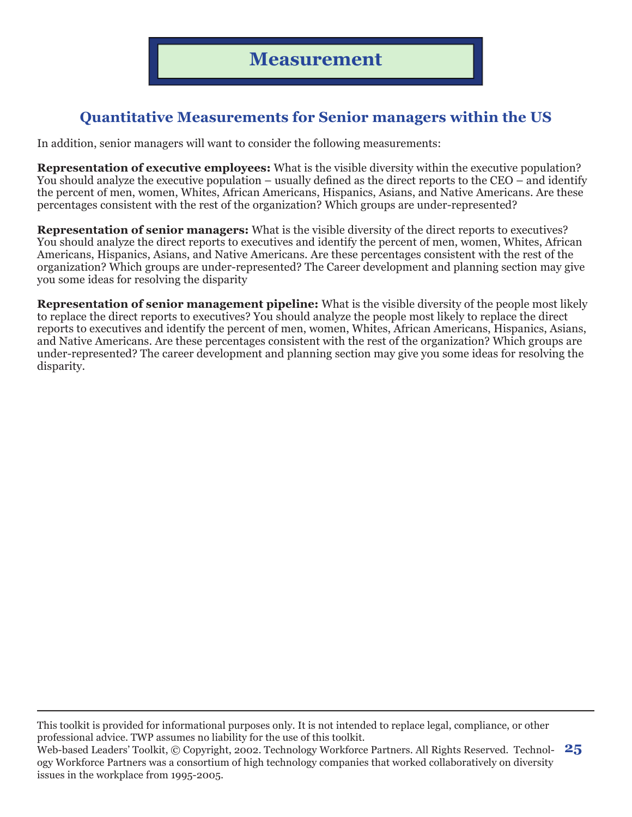## **Quantitative Measurements for Senior managers within the US**

In addition, senior managers will want to consider the following measurements:

**Representation of executive employees:** What is the visible diversity within the executive population? You should analyze the executive population – usually defined as the direct reports to the CEO – and identify the percent of men, women, Whites, African Americans, Hispanics, Asians, and Native Americans. Are these percentages consistent with the rest of the organization? Which groups are under-represented?

**Representation of senior managers:** What is the visible diversity of the direct reports to executives? You should analyze the direct reports to executives and identify the percent of men, women, Whites, African Americans, Hispanics, Asians, and Native Americans. Are these percentages consistent with the rest of the organization? Which groups are under-represented? The Career development and planning section may give you some ideas for resolving the disparity

**Representation of senior management pipeline:** What is the visible diversity of the people most likely to replace the direct reports to executives? You should analyze the people most likely to replace the direct reports to executives and identify the percent of men, women, Whites, African Americans, Hispanics, Asians, and Native Americans. Are these percentages consistent with the rest of the organization? Which groups are under-represented? The career development and planning section may give you some ideas for resolving the disparity.

This toolkit is provided for informational purposes only. It is not intended to replace legal, compliance, or other professional advice. TWP assumes no liability for the use of this toolkit.

Web-based Leaders' Toolkit, © Copyright, 2002. Technology Workforce Partners. All Rights Reserved. Technol-**25** ogy Workforce Partners was a consortium of high technology companies that worked collaboratively on diversity issues in the workplace from 1995-2005.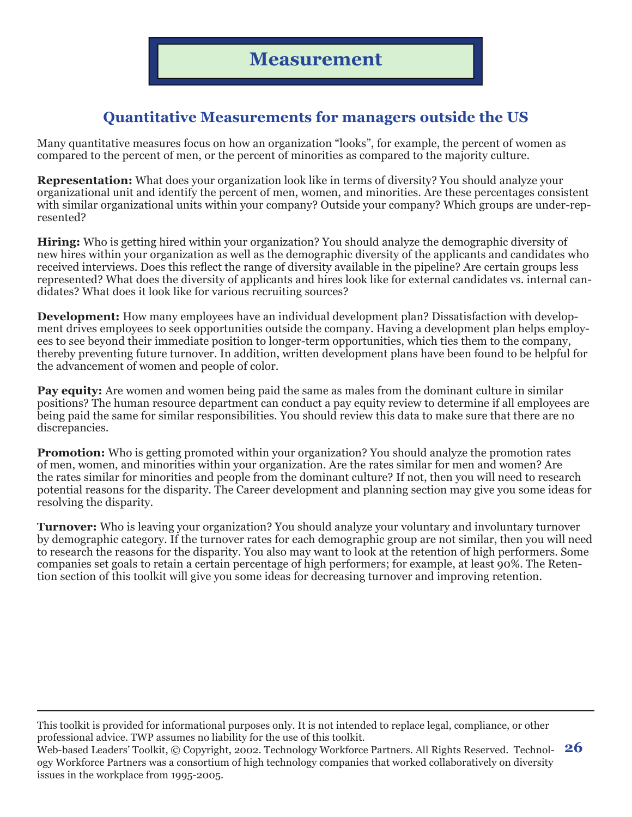#### **Quantitative Measurements for managers outside the US**

Many quantitative measures focus on how an organization "looks", for example, the percent of women as compared to the percent of men, or the percent of minorities as compared to the majority culture.

**Representation:** What does your organization look like in terms of diversity? You should analyze your organizational unit and identify the percent of men, women, and minorities. Are these percentages consistent with similar organizational units within your company? Outside your company? Which groups are under-represented?

**Hiring:** Who is getting hired within your organization? You should analyze the demographic diversity of new hires within your organization as well as the demographic diversity of the applicants and candidates who received interviews. Does this reflect the range of diversity available in the pipeline? Are certain groups less represented? What does the diversity of applicants and hires look like for external candidates vs. internal candidates? What does it look like for various recruiting sources?

**Development:** How many employees have an individual development plan? Dissatisfaction with development drives employees to seek opportunities outside the company. Having a development plan helps employees to see beyond their immediate position to longer-term opportunities, which ties them to the company, thereby preventing future turnover. In addition, written development plans have been found to be helpful for the advancement of women and people of color.

**Pay equity:** Are women and women being paid the same as males from the dominant culture in similar positions? The human resource department can conduct a pay equity review to determine if all employees are being paid the same for similar responsibilities. You should review this data to make sure that there are no discrepancies.

**Promotion:** Who is getting promoted within your organization? You should analyze the promotion rates of men, women, and minorities within your organization. Are the rates similar for men and women? Are the rates similar for minorities and people from the dominant culture? If not, then you will need to research potential reasons for the disparity. The Career development and planning section may give you some ideas for resolving the disparity.

**Turnover:** Who is leaving your organization? You should analyze your voluntary and involuntary turnover by demographic category. If the turnover rates for each demographic group are not similar, then you will need to research the reasons for the disparity. You also may want to look at the retention of high performers. Some companies set goals to retain a certain percentage of high performers; for example, at least 90%. The Retention section of this toolkit will give you some ideas for decreasing turnover and improving retention.

This toolkit is provided for informational purposes only. It is not intended to replace legal, compliance, or other professional advice. TWP assumes no liability for the use of this toolkit.

Web-based Leaders' Toolkit, © Copyright, 2002. Technology Workforce Partners. All Rights Reserved. Technol-**26** ogy Workforce Partners was a consortium of high technology companies that worked collaboratively on diversity issues in the workplace from 1995-2005.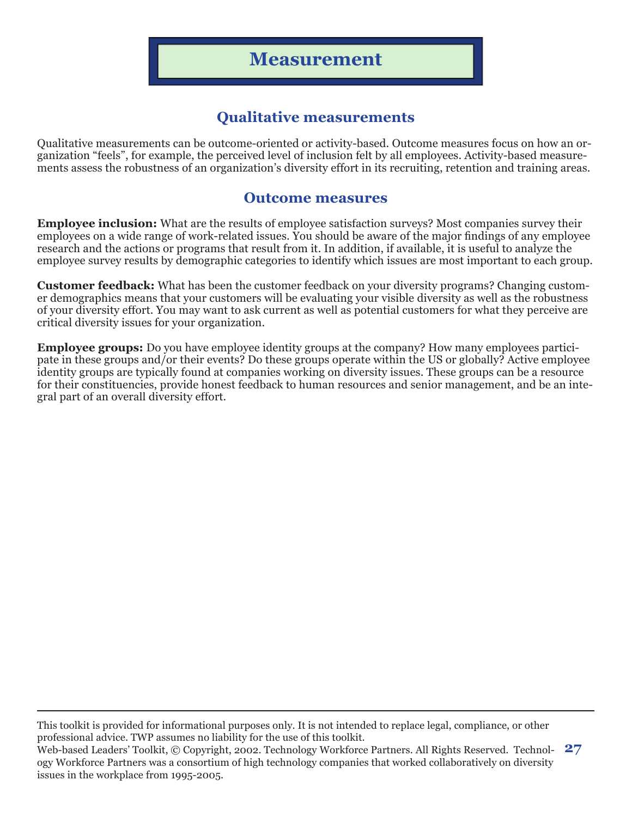#### **Qualitative measurements**

Qualitative measurements can be outcome-oriented or activity-based. Outcome measures focus on how an organization "feels", for example, the perceived level of inclusion felt by all employees. Activity-based measurements assess the robustness of an organization's diversity effort in its recruiting, retention and training areas.

#### **Outcome measures**

**Employee inclusion:** What are the results of employee satisfaction surveys? Most companies survey their employees on a wide range of work-related issues. You should be aware of the major findings of any employee research and the actions or programs that result from it. In addition, if available, it is useful to analyze the employee survey results by demographic categories to identify which issues are most important to each group.

**Customer feedback:** What has been the customer feedback on your diversity programs? Changing customer demographics means that your customers will be evaluating your visible diversity as well as the robustness of your diversity effort. You may want to ask current as well as potential customers for what they perceive are critical diversity issues for your organization.

**Employee groups:** Do you have employee identity groups at the company? How many employees participate in these groups and/or their events? Do these groups operate within the US or globally? Active employee identity groups are typically found at companies working on diversity issues. These groups can be a resource for their constituencies, provide honest feedback to human resources and senior management, and be an integral part of an overall diversity effort.

This toolkit is provided for informational purposes only. It is not intended to replace legal, compliance, or other professional advice. TWP assumes no liability for the use of this toolkit.

Web-based Leaders' Toolkit, © Copyright, 2002. Technology Workforce Partners. All Rights Reserved. Technol-**27** ogy Workforce Partners was a consortium of high technology companies that worked collaboratively on diversity issues in the workplace from 1995-2005.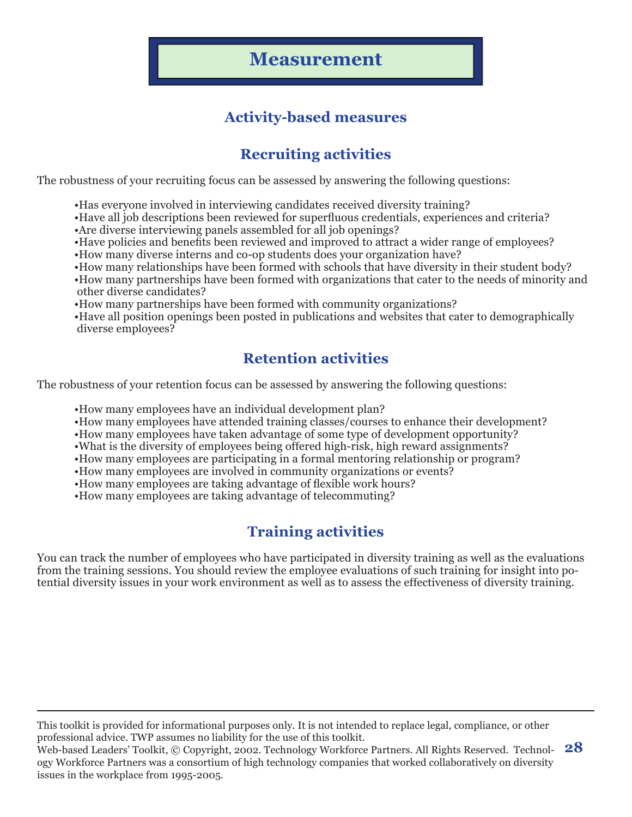## **Activity-based measures**

## **Recruiting activities**

The robustness of your recruiting focus can be assessed by answering the following questions:

- •Has everyone involved in interviewing candidates received diversity training?
- •Have all job descriptions been reviewed for superfluous credentials, experiences and criteria?
- •Are diverse interviewing panels assembled for all job openings?
- •Have policies and benefits been reviewed and improved to attract a wider range of employees?
- •How many diverse interns and co-op students does your organization have?
- •How many relationships have been formed with schools that have diversity in their student body?
- •How many partnerships have been formed with organizations that cater to the needs of minority and other diverse candidates?
- •How many partnerships have been formed with community organizations?
- •Have all position openings been posted in publications and websites that cater to demographically diverse employees?

### **Retention activities**

The robustness of your retention focus can be assessed by answering the following questions:

•How many employees have an individual development plan?

- •How many employees have attended training classes/courses to enhance their development?
- •How many employees have taken advantage of some type of development opportunity?
- •What is the diversity of employees being offered high-risk, high reward assignments?
- •How many employees are participating in a formal mentoring relationship or program?
- •How many employees are involved in community organizations or events?
- •How many employees are taking advantage of flexible work hours?
- •How many employees are taking advantage of telecommuting?

### **Training activities**

You can track the number of employees who have participated in diversity training as well as the evaluations from the training sessions. You should review the employee evaluations of such training for insight into potential diversity issues in your work environment as well as to assess the effectiveness of diversity training.

This toolkit is provided for informational purposes only. It is not intended to replace legal, compliance, or other professional advice. TWP assumes no liability for the use of this toolkit.

Web-based Leaders' Toolkit, © Copyright, 2002. Technology Workforce Partners. All Rights Reserved. Technol-**28** ogy Workforce Partners was a consortium of high technology companies that worked collaboratively on diversity issues in the workplace from 1995-2005.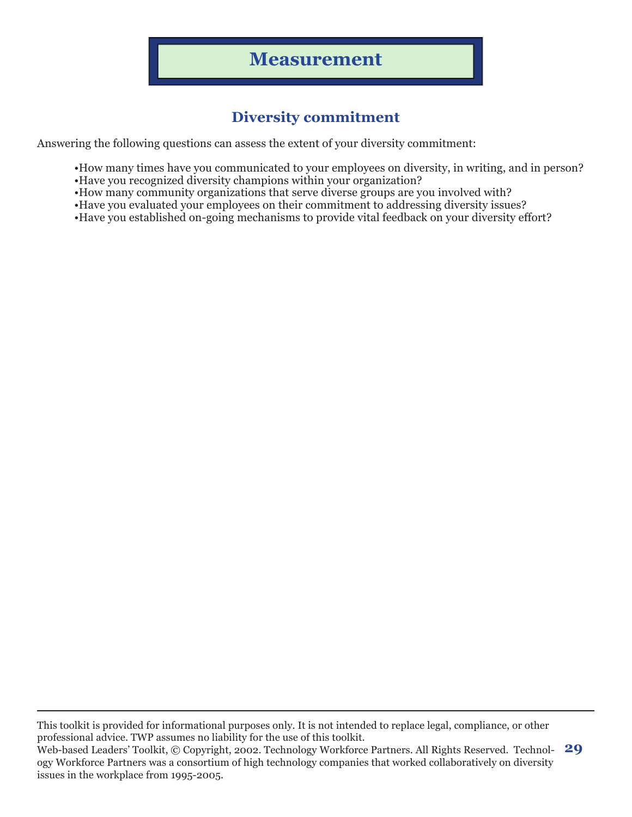### **Diversity commitment**

Answering the following questions can assess the extent of your diversity commitment:

- •How many times have you communicated to your employees on diversity, in writing, and in person?
- •Have you recognized diversity champions within your organization?
- •How many community organizations that serve diverse groups are you involved with?
- •Have you evaluated your employees on their commitment to addressing diversity issues?
- •Have you established on-going mechanisms to provide vital feedback on your diversity effort?

This toolkit is provided for informational purposes only. It is not intended to replace legal, compliance, or other professional advice. TWP assumes no liability for the use of this toolkit.

Web-based Leaders' Toolkit, © Copyright, 2002. Technology Workforce Partners. All Rights Reserved. Technol-**29** ogy Workforce Partners was a consortium of high technology companies that worked collaboratively on diversity issues in the workplace from 1995-2005.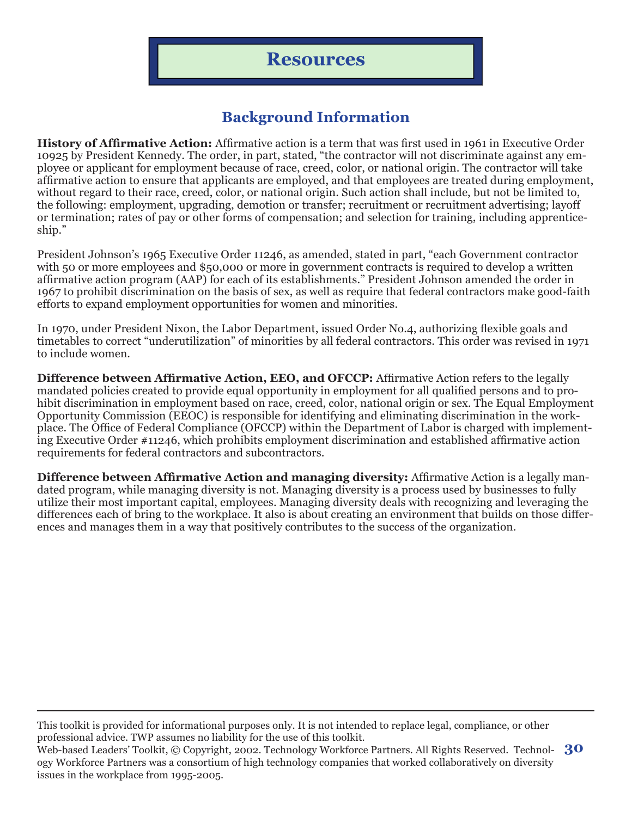### **Resources**

## **Background Information**

**History of Affirmative Action:** Affirmative action is a term that was first used in 1961 in Executive Order 10925 by President Kennedy. The order, in part, stated, "the contractor will not discriminate against any employee or applicant for employment because of race, creed, color, or national origin. The contractor will take affirmative action to ensure that applicants are employed, and that employees are treated during employment, without regard to their race, creed, color, or national origin. Such action shall include, but not be limited to, the following: employment, upgrading, demotion or transfer; recruitment or recruitment advertising; layoff or termination; rates of pay or other forms of compensation; and selection for training, including apprenticeship."

President Johnson's 1965 Executive Order 11246, as amended, stated in part, "each Government contractor with 50 or more employees and \$50,000 or more in government contracts is required to develop a written affirmative action program (AAP) for each of its establishments." President Johnson amended the order in 1967 to prohibit discrimination on the basis of sex, as well as require that federal contractors make good-faith efforts to expand employment opportunities for women and minorities.

In 1970, under President Nixon, the Labor Department, issued Order No.4, authorizing flexible goals and timetables to correct "underutilization" of minorities by all federal contractors. This order was revised in 1971 to include women.

**Difference between Affirmative Action, EEO, and OFCCP:** Affirmative Action refers to the legally mandated policies created to provide equal opportunity in employment for all qualified persons and to prohibit discrimination in employment based on race, creed, color, national origin or sex. The Equal Employment Opportunity Commission (EEOC) is responsible for identifying and eliminating discrimination in the workplace. The Office of Federal Compliance (OFCCP) within the Department of Labor is charged with implementing Executive Order #11246, which prohibits employment discrimination and established affirmative action requirements for federal contractors and subcontractors.

**Difference between Affirmative Action and managing diversity:** Affirmative Action is a legally mandated program, while managing diversity is not. Managing diversity is a process used by businesses to fully utilize their most important capital, employees. Managing diversity deals with recognizing and leveraging the differences each of bring to the workplace. It also is about creating an environment that builds on those differences and manages them in a way that positively contributes to the success of the organization.

This toolkit is provided for informational purposes only. It is not intended to replace legal, compliance, or other professional advice. TWP assumes no liability for the use of this toolkit.

Web-based Leaders' Toolkit, © Copyright, 2002. Technology Workforce Partners. All Rights Reserved. Technol-**30** ogy Workforce Partners was a consortium of high technology companies that worked collaboratively on diversity issues in the workplace from 1995-2005.